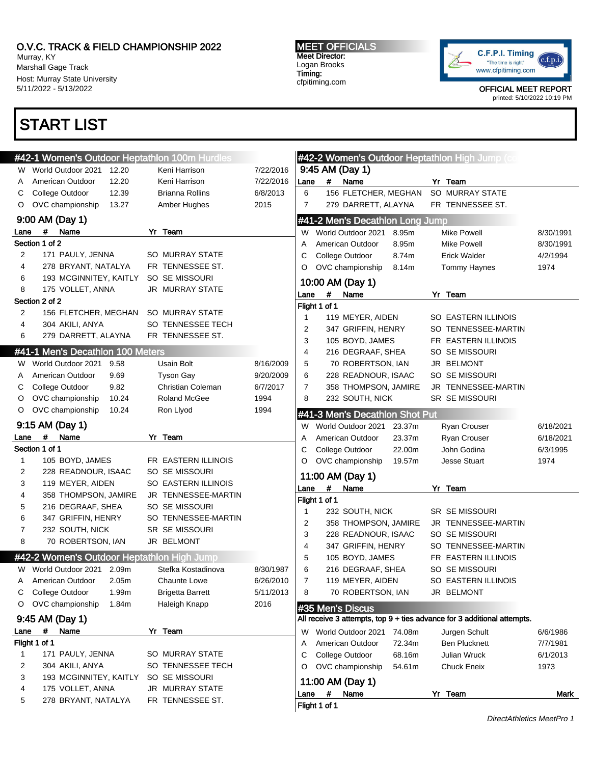Murray, KY Marshall Gage Track Host: Murray State University 5/11/2022 - 5/13/2022

## START LIST

#### MEET OFFICIALS Meet Director: Logan Brooks Timing: cfpitiming.com



|             | <b>#42-1 Women's Outdoor Heptathlon 100m Hurdles</b> |                         |           |                     |               |                                 |        | <b>#42-2 Women's Outdoor Heptathlon High Jump (comp)</b>                |           |
|-------------|------------------------------------------------------|-------------------------|-----------|---------------------|---------------|---------------------------------|--------|-------------------------------------------------------------------------|-----------|
| W           | World Outdoor 2021<br>12.20                          | Keni Harrison           | 7/22/2016 |                     |               | 9:45 AM (Day 1)                 |        |                                                                         |           |
| A           | 12.20<br>American Outdoor                            | Keni Harrison           | 7/22/2016 | Lane                |               | #<br>Name                       |        | Yr Team                                                                 |           |
| С           | 12.39<br>College Outdoor                             | <b>Brianna Rollins</b>  | 6/8/2013  | 6                   |               | 156 FLETCHER, MEGHAN            |        | SO MURRAY STATE                                                         |           |
| O           | OVC championship<br>13.27                            | Amber Hughes            | 2015      | $\overline{7}$      |               | 279 DARRETT, ALAYNA             |        | FR TENNESSEE ST.                                                        |           |
|             | 9:00 AM (Day 1)                                      |                         |           |                     |               | #41-2 Men's Decathlon Long Jump |        |                                                                         |           |
| Lane        | #<br>Name                                            | Yr Team                 |           | W                   |               | World Outdoor 2021              | 8.95m  | <b>Mike Powell</b>                                                      | 8/30/1991 |
|             | Section 1 of 2                                       |                         |           | Α                   |               | American Outdoor                | 8.95m  | <b>Mike Powell</b>                                                      | 8/30/1991 |
| 2           | 171 PAULY, JENNA                                     | <b>SO MURRAY STATE</b>  |           | С                   |               | College Outdoor                 | 8.74m  | <b>Erick Walder</b>                                                     | 4/2/1994  |
| 4           | 278 BRYANT, NATALYA                                  | FR TENNESSEE ST.        |           | O                   |               | OVC championship                | 8.14m  | <b>Tommy Haynes</b>                                                     | 1974      |
| 6           | 193 MCGINNITEY, KAITLY                               | SO SE MISSOURI          |           |                     |               |                                 |        |                                                                         |           |
| 8           | 175 VOLLET, ANNA                                     | JR MURRAY STATE         |           |                     |               | 10:00 AM (Day 1)                |        |                                                                         |           |
|             | Section 2 of 2                                       |                         |           | Lane                | $\#$          | Name                            |        | Yr Team                                                                 |           |
| 2           | 156 FLETCHER, MEGHAN                                 | <b>SO MURRAY STATE</b>  |           |                     | Flight 1 of 1 |                                 |        |                                                                         |           |
| 4           | 304 AKILI, ANYA                                      | SO TENNESSEE TECH       |           | $\mathbf{1}$        |               | 119 MEYER, AIDEN                |        | SO EASTERN ILLINOIS                                                     |           |
| 6           | 279 DARRETT, ALAYNA                                  | FR TENNESSEE ST.        |           | $\overline{2}$<br>3 |               | 347 GRIFFIN, HENRY              |        | SO TENNESSEE-MARTIN                                                     |           |
|             | #41-1 Men's Decathlon 100 Meters                     |                         |           |                     |               | 105 BOYD, JAMES                 |        | FR EASTERN ILLINOIS                                                     |           |
|             |                                                      |                         |           | 4                   |               | 216 DEGRAAF, SHEA               |        | SO SE MISSOURI<br>JR BELMONT                                            |           |
|             | W World Outdoor 2021<br>9.58                         | Usain Bolt              | 8/16/2009 | 5                   |               | 70 ROBERTSON, IAN               |        |                                                                         |           |
| A           | American Outdoor<br>9.69                             | <b>Tyson Gay</b>        | 9/20/2009 | 6                   |               | 228 READNOUR, ISAAC             |        | SO SE MISSOURI                                                          |           |
| С           | College Outdoor<br>9.82                              | Christian Coleman       | 6/7/2017  | 7                   |               | 358 THOMPSON, JAMIRE            |        | JR TENNESSEE-MARTIN                                                     |           |
| O           | OVC championship<br>10.24                            | Roland McGee            | 1994      | 8                   |               | 232 SOUTH, NICK                 |        | <b>SR SE MISSOURI</b>                                                   |           |
| O           | OVC championship<br>10.24                            | Ron Llyod               | 1994      |                     |               | #41-3 Men's Decathlon Shot Put  |        |                                                                         |           |
|             | 9:15 AM (Day 1)                                      |                         |           | W                   |               | World Outdoor 2021              | 23.37m | Ryan Crouser                                                            | 6/18/2021 |
| Lane        | $\#$<br>Name                                         | Yr Team                 |           | Α                   |               | American Outdoor                | 23.37m | Ryan Crouser                                                            | 6/18/2021 |
|             | Section 1 of 1                                       |                         |           | С                   |               | College Outdoor                 | 22.00m | John Godina                                                             | 6/3/1995  |
| $\mathbf 1$ | 105 BOYD, JAMES                                      | FR EASTERN ILLINOIS     |           | O                   |               | OVC championship                | 19.57m | <b>Jesse Stuart</b>                                                     | 1974      |
| 2           | 228 READNOUR, ISAAC                                  | SO SE MISSOURI          |           |                     |               | 11:00 AM (Day 1)                |        |                                                                         |           |
| 3           | 119 MEYER, AIDEN                                     | SO EASTERN ILLINOIS     |           | Lane                | $\#$          | Name                            |        | Yr Team                                                                 |           |
| 4           | 358 THOMPSON, JAMIRE                                 | JR TENNESSEE-MARTIN     |           |                     | Flight 1 of 1 |                                 |        |                                                                         |           |
| 5           | 216 DEGRAAF, SHEA                                    | SO SE MISSOURI          |           | $\mathbf{1}$        |               | 232 SOUTH, NICK                 |        | <b>SR SE MISSOURI</b>                                                   |           |
| 6           | 347 GRIFFIN, HENRY                                   | SO TENNESSEE-MARTIN     |           | $\overline{2}$      |               | 358 THOMPSON, JAMIRE            |        | JR TENNESSEE-MARTIN                                                     |           |
| 7           | 232 SOUTH, NICK                                      | SR SE MISSOURI          |           | 3                   |               | 228 READNOUR, ISAAC             |        | <b>SO SE MISSOURI</b>                                                   |           |
| 8           | 70 ROBERTSON, IAN                                    | JR BELMONT              |           | $\overline{4}$      |               | 347 GRIFFIN, HENRY              |        | SO TENNESSEE-MARTIN                                                     |           |
|             | #42-2 Women's Outdoor Heptathlon High Jump           |                         |           | 5                   |               | 105 BOYD, JAMES                 |        | FR EASTERN ILLINOIS                                                     |           |
| W           | World Outdoor 2021<br>2.09m                          | Stefka Kostadinova      | 8/30/1987 | 6                   |               | 216 DEGRAAF, SHEA               |        | SO SE MISSOURI                                                          |           |
| A           | American Outdoor<br>2.05m                            | <b>Chaunte Lowe</b>     | 6/26/2010 | $\overline{7}$      |               | 119 MEYER, AIDEN                |        | SO EASTERN ILLINOIS                                                     |           |
| С           | College Outdoor<br>1.99m                             | <b>Brigetta Barrett</b> | 5/11/2013 | 8                   |               | 70 ROBERTSON, IAN               |        | JR BELMONT                                                              |           |
| O           | OVC championship<br>1.84m                            | Haleigh Knapp           | 2016      |                     |               |                                 |        |                                                                         |           |
|             |                                                      |                         |           |                     |               | #35 Men's Discus                |        |                                                                         |           |
|             | 9:45 AM (Day 1)                                      |                         |           |                     |               |                                 |        | All receive 3 attempts, top 9 + ties advance for 3 additional attempts. |           |
| Lane        | #<br>Name                                            | Yr Team                 |           | W                   |               | World Outdoor 2021              | 74.08m | Jurgen Schult                                                           | 6/6/1986  |
|             | Flight 1 of 1                                        |                         |           | A                   |               | American Outdoor                | 72.34m | <b>Ben Plucknett</b>                                                    | 7/7/1981  |
| 1           | 171 PAULY, JENNA                                     | SO MURRAY STATE         |           | С                   |               | College Outdoor                 | 68.16m | Julian Wruck                                                            | 6/1/2013  |
| 2           | 304 AKILI, ANYA                                      | SO TENNESSEE TECH       |           | O                   |               | OVC championship                | 54.61m | <b>Chuck Eneix</b>                                                      | 1973      |
| 3           | 193 MCGINNITEY, KAITLY                               | SO SE MISSOURI          |           |                     |               | 11:00 AM (Day 1)                |        |                                                                         |           |
| 4           | 175 VOLLET, ANNA                                     | JR MURRAY STATE         |           | Lane                | #             | Name                            |        | Yr Team                                                                 | Mark      |
| 5           | 278 BRYANT, NATALYA                                  | FR TENNESSEE ST.        |           |                     | Flight 1 of 1 |                                 |        |                                                                         |           |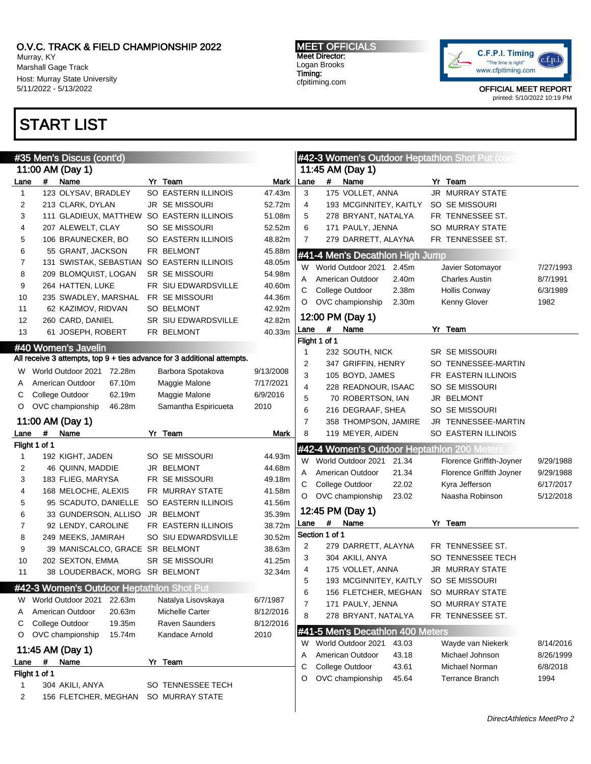Murray, KY Marshall Gage Track Host: Murray State University 5/11/2022 - 5/13/2022

## START LIST

#### MEET OFFICIALS Meet Director: Logan Brooks Timing: cfpitiming.com



|                |               | #35 Men's Discus (cont'd)                 |                                                                         |           |                |                |                                          |                | #42-3 Women's Outdoor Heptathlon Shot Put (com |           |
|----------------|---------------|-------------------------------------------|-------------------------------------------------------------------------|-----------|----------------|----------------|------------------------------------------|----------------|------------------------------------------------|-----------|
|                |               | 11:00 AM (Day 1)                          |                                                                         |           |                |                | 11:45 AM (Day 1)                         |                |                                                |           |
| Lane           | $\#$          | Name                                      | Yr Team                                                                 | Mark      | Lane           | $\#$           | Name                                     |                | Yr Team                                        |           |
| $\mathbf{1}$   |               | 123 OLYSAV, BRADLEY                       | SO EASTERN ILLINOIS                                                     | 47.43m    | 3              |                | 175 VOLLET, ANNA                         |                | <b>JR MURRAY STATE</b>                         |           |
| 2              |               | 213 CLARK, DYLAN                          | JR SE MISSOURI                                                          | 52.72m    | 4              |                | 193 MCGINNITEY, KAITLY                   |                | SO SE MISSOURI                                 |           |
| 3              |               | 111 GLADIEUX, MATTHEW SO EASTERN ILLINOIS |                                                                         | 51.08m    | 5              |                | 278 BRYANT, NATALYA                      |                | FR TENNESSEE ST.                               |           |
| 4              |               | 207 ALEWELT, CLAY                         | SO SE MISSOURI                                                          | 52.52m    | 6              |                | 171 PAULY, JENNA                         |                | SO MURRAY STATE                                |           |
| 5              |               | 106 BRAUNECKER, BO                        | <b>SO EASTERN ILLINOIS</b>                                              | 48.82m    | $\overline{7}$ |                | 279 DARRETT, ALAYNA                      |                | FR TENNESSEE ST.                               |           |
| 6              |               | 55 GRANT, JACKSON                         | FR BELMONT                                                              | 45.88m    |                |                | #41-4 Men's Decathlon High Jump          |                |                                                |           |
| $\overline{7}$ |               | 131 SWISTAK, SEBASTIAN                    | SO EASTERN ILLINOIS                                                     | 48.05m    |                |                |                                          |                |                                                |           |
| 8              |               | 209 BLOMQUIST, LOGAN                      | <b>SR SE MISSOURI</b>                                                   | 54.98m    |                |                | W World Outdoor 2021<br>American Outdoor | 2.45m<br>2.40m | Javier Sotomayor                               | 7/27/1993 |
| 9              |               | 264 HATTEN, LUKE                          | FR SIU EDWARDSVILLE                                                     | 40.60m    | Α              |                |                                          |                | <b>Charles Austin</b>                          | 8/7/1991  |
| 10             |               | 235 SWADLEY, MARSHAL                      | FR SE MISSOURI                                                          | 44.36m    | С              |                | College Outdoor                          | 2.38m          | <b>Hollis Conway</b>                           | 6/3/1989  |
| 11             |               | 62 KAZIMOV, RIDVAN                        | <b>SO BELMONT</b>                                                       | 42.92m    | O              |                | OVC championship                         | 2.30m          | Kenny Glover                                   | 1982      |
| 12             |               | 260 CARD, DANIEL                          | SR SIU EDWARDSVILLE                                                     | 42.82m    |                |                | 12:00 PM (Day 1)                         |                |                                                |           |
| 13             |               | 61 JOSEPH, ROBERT                         | FR BELMONT                                                              | 40.33m    | Lane           | #              | Name                                     |                | Yr Team                                        |           |
|                |               |                                           |                                                                         |           |                | Flight 1 of 1  |                                          |                |                                                |           |
|                |               | #40 Women's Javelin                       |                                                                         |           | $\mathbf{1}$   |                | 232 SOUTH, NICK                          |                | <b>SR SE MISSOURI</b>                          |           |
|                |               |                                           | All receive 3 attempts, top 9 + ties advance for 3 additional attempts. |           | 2              |                | 347 GRIFFIN, HENRY                       |                | SO TENNESSEE-MARTIN                            |           |
| W              |               | World Outdoor 2021 72.28m                 | Barbora Spotakova                                                       | 9/13/2008 | 3              |                | 105 BOYD, JAMES                          |                | FR EASTERN ILLINOIS                            |           |
| Α              |               | American Outdoor<br>67.10m                | Maggie Malone                                                           | 7/17/2021 | 4              |                | 228 READNOUR, ISAAC                      |                | SO SE MISSOURI                                 |           |
| С              |               | College Outdoor<br>62.19m                 | Maggie Malone                                                           | 6/9/2016  | 5              |                | 70 ROBERTSON, IAN                        |                | JR BELMONT                                     |           |
| O              |               | OVC championship<br>46.28m                | Samantha Espiricueta                                                    | 2010      | 6              |                | 216 DEGRAAF, SHEA                        |                | SO SE MISSOURI                                 |           |
|                |               | 11:00 AM (Day 1)                          |                                                                         |           | $\overline{7}$ |                | 358 THOMPSON, JAMIRE                     |                | JR TENNESSEE-MARTIN                            |           |
| Lane           | #             | Name                                      | Yr Team                                                                 | Mark      | 8              |                | 119 MEYER, AIDEN                         |                | SO EASTERN ILLINOIS                            |           |
|                | Flight 1 of 1 |                                           |                                                                         |           |                |                |                                          |                | #42-4 Women's Outdoor Heptathlon 200 Meters    |           |
| 1              |               | 192 KIGHT, JADEN                          | SO SE MISSOURI                                                          | 44.93m    |                |                | World Outdoor 2021                       |                |                                                |           |
| 2              |               | 46 QUINN, MADDIE                          | JR BELMONT                                                              | 44.68m    | W              |                | 21.34                                    |                | Florence Griffith-Joyner                       | 9/29/1988 |
| 3              |               | 183 FLIEG, MARYSA                         | FR SE MISSOURI                                                          | 49.18m    | Α              |                | American Outdoor                         | 21.34          | Florence Griffith Joyner                       | 9/29/1988 |
| 4              |               | 168 MELOCHE, ALEXIS                       | FR MURRAY STATE                                                         | 41.58m    | С              |                | College Outdoor                          | 22.02          | Kyra Jefferson                                 | 6/17/2017 |
| 5              |               | 95 SCADUTO, DANIELLE                      | SO EASTERN ILLINOIS                                                     | 41.56m    | O              |                | OVC championship<br>23.02                |                | Naasha Robinson                                | 5/12/2018 |
| 6              |               | 33 GUNDERSON, ALLISO                      | JR BELMONT                                                              | 35.39m    |                |                | 12:45 PM (Day 1)                         |                |                                                |           |
| 7              |               | 92 LENDY, CAROLINE                        | FR EASTERN ILLINOIS                                                     | 38.72m    | Lane           | #              | Name                                     |                | Yr Team                                        |           |
| 8              |               | 249 MEEKS, JAMIRAH                        | SO SIU EDWARDSVILLE                                                     | 30.52m    |                | Section 1 of 1 |                                          |                |                                                |           |
| 9              |               | 39 MANISCALCO, GRACE SR BELMONT           |                                                                         | 38.63m    | 2              |                | 279 DARRETT, ALAYNA                      |                | FR TENNESSEE ST.                               |           |
| 10             |               | 202 SEXTON, EMMA                          | <b>SR SE MISSOURI</b>                                                   | 41.25m    | 3              |                | 304 AKILI, ANYA                          |                | SO TENNESSEE TECH                              |           |
| 11             |               | 38 LOUDERBACK, MORG SR BELMONT            |                                                                         | 32.34m    | 4              |                | 175 VOLLET, ANNA                         |                | JR MURRAY STATE                                |           |
|                |               |                                           |                                                                         |           | 5              |                | 193 MCGINNITEY, KAITLY                   |                | SO SE MISSOURI                                 |           |
|                |               | #42-3 Women's Outdoor Heptathlon Shot Put |                                                                         |           | 6              |                | 156 FLETCHER, MEGHAN                     |                | SO MURRAY STATE                                |           |
| W              |               | World Outdoor 2021<br>22.63m              | Natalya Lisovskaya                                                      | 6/7/1987  | $\overline{7}$ |                | 171 PAULY, JENNA                         |                | SO MURRAY STATE                                |           |
| Α              |               | American Outdoor<br>20.63m                | Michelle Carter                                                         | 8/12/2016 | 8              |                | 278 BRYANT, NATALYA                      |                | FR TENNESSEE ST.                               |           |
| С              |               | College Outdoor<br>19.35m                 | <b>Raven Saunders</b>                                                   | 8/12/2016 |                |                | #41-5 Men's Decathlon 400 Meters         |                |                                                |           |
| O              |               | OVC championship<br>15.74m                | Kandace Arnold                                                          | 2010      |                |                |                                          |                |                                                |           |
|                |               | 11:45 AM (Day 1)                          |                                                                         |           | W              |                | World Outdoor 2021<br>43.03              |                | Wayde van Niekerk                              | 8/14/2016 |
| Lane           | #             | Name                                      | Yr Team                                                                 |           | Α              |                | American Outdoor                         | 43.18          | Michael Johnson                                | 8/26/1999 |
|                | Flight 1 of 1 |                                           |                                                                         |           | С              |                | College Outdoor<br>43.61                 |                | Michael Norman                                 | 6/8/2018  |
| 1              |               | 304 AKILI, ANYA                           | SO TENNESSEE TECH                                                       |           | O              |                | OVC championship                         | 45.64          | <b>Terrance Branch</b>                         | 1994      |
|                |               |                                           |                                                                         |           |                |                |                                          |                |                                                |           |
| 2              |               | 156 FLETCHER, MEGHAN                      | SO MURRAY STATE                                                         |           |                |                |                                          |                |                                                |           |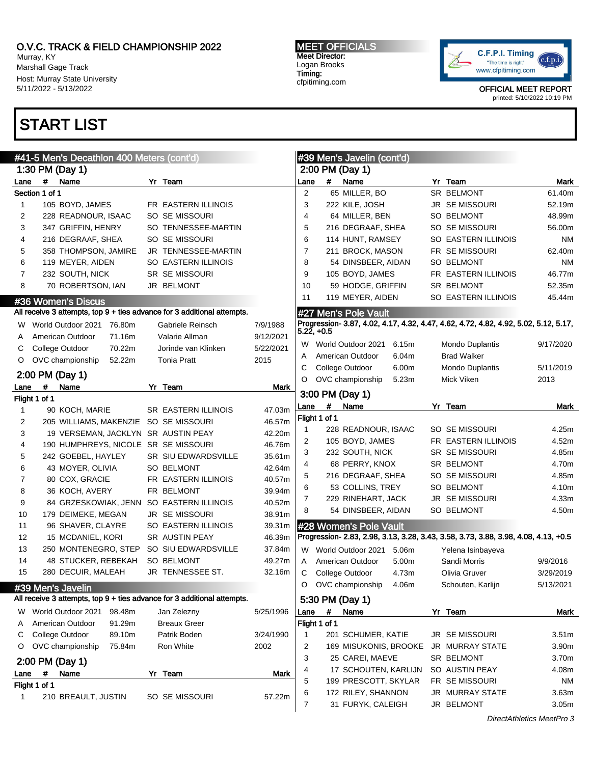Murray, KY Marshall Gage Track Host: Murray State University 5/11/2022 - 5/13/2022

## START LIST

MEET OFFICIALS Meet Director: Logan Brooks Timing: cfpitiming.com



OFFICIAL MEET REPORT printed: 5/10/2022 10:19 PM

|                | #41-5 Men's Decathlon 400 Meters (cont'd)                                                     |                            |           |                | #39 Men's Javelin (cont'd)                                                                                   |                        |                   |
|----------------|-----------------------------------------------------------------------------------------------|----------------------------|-----------|----------------|--------------------------------------------------------------------------------------------------------------|------------------------|-------------------|
|                | 1:30 PM (Day 1)                                                                               |                            |           |                | 2:00 PM (Day 1)                                                                                              |                        |                   |
| Lane           | #<br>Name                                                                                     | Yr Team                    |           | Lane           | #<br>Name                                                                                                    | Yr Team                | Mark              |
|                | Section 1 of 1                                                                                |                            |           | 2              | 65 MILLER, BO                                                                                                | SR BELMONT             | 61.40m            |
| 1              | 105 BOYD, JAMES                                                                               | FR EASTERN ILLINOIS        |           | 3              | 222 KILE, JOSH                                                                                               | JR SE MISSOURI         | 52.19m            |
| 2              | 228 READNOUR, ISAAC                                                                           | SO SE MISSOURI             |           | $\overline{4}$ | 64 MILLER, BEN                                                                                               | <b>SO BELMONT</b>      | 48.99m            |
| 3              | 347 GRIFFIN, HENRY                                                                            | SO TENNESSEE-MARTIN        |           | 5              | 216 DEGRAAF, SHEA                                                                                            | SO SE MISSOURI         | 56.00m            |
| 4              | 216 DEGRAAF, SHEA                                                                             | SO SE MISSOURI             |           | 6              | 114 HUNT, RAMSEY                                                                                             | SO EASTERN ILLINOIS    | ΝM                |
| 5              | 358 THOMPSON, JAMIRE                                                                          | JR TENNESSEE-MARTIN        |           | 7              | 211 BROCK, MASON                                                                                             | FR SE MISSOURI         | 62.40m            |
| 6              | 119 MEYER, AIDEN                                                                              | SO EASTERN ILLINOIS        |           | 8              | 54 DINSBEER, AIDAN                                                                                           | <b>SO BELMONT</b>      | ΝM                |
| 7              | 232 SOUTH, NICK                                                                               | <b>SR SE MISSOURI</b>      |           | 9              | 105 BOYD, JAMES                                                                                              | FR EASTERN ILLINOIS    | 46.77m            |
| 8              | 70 ROBERTSON, IAN                                                                             | JR BELMONT                 |           | 10             | 59 HODGE, GRIFFIN                                                                                            | <b>SR BELMONT</b>      | 52.35m            |
|                |                                                                                               |                            |           | 11             | 119 MEYER, AIDEN                                                                                             | SO EASTERN ILLINOIS    | 45.44m            |
|                | #36 Women's Discus<br>All receive 3 attempts, top 9 + ties advance for 3 additional attempts. |                            |           |                |                                                                                                              |                        |                   |
|                |                                                                                               |                            |           |                | #27 Men's Pole Vault<br>Progression- 3.87, 4.02, 4.17, 4.32, 4.47, 4.62, 4.72, 4.82, 4.92, 5.02, 5.12, 5.17, |                        |                   |
| W              | World Outdoor 2021 76.80m                                                                     | Gabriele Reinsch           | 7/9/1988  | 5.22, +0.5     |                                                                                                              |                        |                   |
| A              | American Outdoor<br>71.16m                                                                    | Valarie Allman             | 9/12/2021 | W              | World Outdoor 2021<br>6.15m                                                                                  | Mondo Duplantis        | 9/17/2020         |
| С              | College Outdoor<br>70.22m                                                                     | Jorinde van Klinken        | 5/22/2021 | A              | 6.04m<br>American Outdoor                                                                                    | <b>Brad Walker</b>     |                   |
| O              | OVC championship<br>52.22m                                                                    | <b>Tonia Pratt</b>         | 2015      | С              | College Outdoor<br>6.00m                                                                                     | Mondo Duplantis        | 5/11/2019         |
|                | 2:00 PM (Day 1)                                                                               |                            |           | O              | 5.23m<br>OVC championship                                                                                    | Mick Viken             | 2013              |
| Lane           | #<br>Name                                                                                     | Yr Team                    | Mark      |                |                                                                                                              |                        |                   |
|                | Flight 1 of 1                                                                                 |                            |           |                | 3:00 PM (Day 1)                                                                                              |                        |                   |
| 1              | 90 KOCH, MARIE                                                                                | <b>SR EASTERN ILLINOIS</b> | 47.03m    | Lane           | #<br>Name                                                                                                    | Yr Team                | Mark              |
| 2              | 205 WILLIAMS, MAKENZIE SO SE MISSOURI                                                         |                            | 46.57m    |                | Flight 1 of 1                                                                                                |                        |                   |
| 3              | 19 VERSEMAN, JACKLYN SR AUSTIN PEAY                                                           |                            | 42.20m    | -1             | 228 READNOUR, ISAAC                                                                                          | SO SE MISSOURI         | 4.25m             |
| 4              | 190 HUMPHREYS, NICOLE SR SE MISSOURI                                                          |                            | 46.76m    | 2              | 105 BOYD, JAMES                                                                                              | FR EASTERN ILLINOIS    | 4.52m             |
| 5              | 242 GOEBEL, HAYLEY                                                                            | SR SIU EDWARDSVILLE        | 35.61m    | 3              | 232 SOUTH, NICK                                                                                              | SR SE MISSOURI         | 4.85m             |
| 6              | 43 MOYER, OLIVIA                                                                              | <b>SO BELMONT</b>          | 42.64m    | 4              | 68 PERRY, KNOX                                                                                               | SR BELMONT             | 4.70m             |
| $\overline{7}$ | 80 COX, GRACIE                                                                                | FR EASTERN ILLINOIS        | 40.57m    | 5              | 216 DEGRAAF, SHEA                                                                                            | SO SE MISSOURI         | 4.85m             |
| 8              | 36 KOCH, AVERY                                                                                | FR BELMONT                 | 39.94m    | 6              | 53 COLLINS, TREY                                                                                             | SO BELMONT             | 4.10m             |
| 9              | 84 GRZESKOWIAK, JENN                                                                          | SO EASTERN ILLINOIS        | 40.52m    | 7              | 229 RINEHART, JACK                                                                                           | JR SE MISSOURI         | 4.33m             |
| 10             | 179 DEIMEKE, MEGAN                                                                            | <b>JR SE MISSOURI</b>      | 38.91m    | 8              | 54 DINSBEER, AIDAN                                                                                           | SO BELMONT             | 4.50m             |
| 11             | 96 SHAVER, CLAYRE                                                                             | SO EASTERN ILLINOIS        | 39.31m    |                | #28 Women's Pole Vault                                                                                       |                        |                   |
| 12             | 15 MCDANIEL, KORI                                                                             | SR AUSTIN PEAY             | 46.39m    |                | Progression- 2.83, 2.98, 3.13, 3.28, 3.43, 3.58, 3.73, 3.88, 3.98, 4.08, 4.13, +0.5                          |                        |                   |
| 13             | 250 MONTENEGRO, STEP                                                                          | SO SIU EDWARDSVILLE        | 37.84m    |                | W World Outdoor 2021 5.06m                                                                                   | Yelena Isinbayeva      |                   |
| 14             | 48 STUCKER, REBEKAH                                                                           | <b>SO BELMONT</b>          | 49.27m    | Α              | 5.00m<br>American Outdoor                                                                                    | Sandi Morris           | 9/9/2016          |
| 15             | 280 DECUIR, MALEAH                                                                            | <b>JR TENNESSEE ST.</b>    | 32.16m    | С              | College Outdoor<br>4.73m                                                                                     | Olivia Gruver          | 3/29/2019         |
|                | #39 Men's Javelin                                                                             |                            |           | $\circ$        | OVC championship 4.06m                                                                                       | Schouten, Karlijn      | 5/13/2021         |
|                | All receive 3 attempts, top 9 + ties advance for 3 additional attempts.                       |                            |           |                | 5:30 PM (Day 1)                                                                                              |                        |                   |
| W              | World Outdoor 2021<br>98.48m                                                                  | Jan Zelezny                | 5/25/1996 | Lane           | #<br>Name                                                                                                    | Yr Team                | Mark              |
| Α              | American Outdoor<br>91.29m                                                                    | <b>Breaux Greer</b>        |           |                | Flight 1 of 1                                                                                                |                        |                   |
| С              | College Outdoor<br>89.10m                                                                     | Patrik Boden               | 3/24/1990 | $\mathbf 1$    | 201 SCHUMER, KATIE                                                                                           | JR SE MISSOURI         | 3.51 <sub>m</sub> |
| O              | OVC championship<br>75.84m                                                                    | Ron White                  | 2002      | 2              | 169 MISUKONIS, BROOKE                                                                                        | JR MURRAY STATE        | 3.90m             |
|                |                                                                                               |                            |           | 3              | 25 CAREI, MAEVE                                                                                              | SR BELMONT             | 3.70m             |
|                | 2:00 PM (Day 1)                                                                               |                            |           | 4              | 17 SCHOUTEN, KARLIJN                                                                                         | SO AUSTIN PEAY         | 4.08m             |
| Lane           | #<br>Name                                                                                     | Yr Team                    | Mark      | 5              | 199 PRESCOTT, SKYLAR                                                                                         | FR SE MISSOURI         | ΝM                |
|                | Flight 1 of 1                                                                                 |                            |           | 6              | 172 RILEY, SHANNON                                                                                           | <b>JR MURRAY STATE</b> | 3.63m             |
| 1              | 210 BREAULT, JUSTIN                                                                           | SO SE MISSOURI             | 57.22m    | 7              | 31 FURYK, CALEIGH                                                                                            | JR BELMONT             | 3.05m             |
|                |                                                                                               |                            |           |                |                                                                                                              |                        |                   |

DirectAthletics MeetPro 3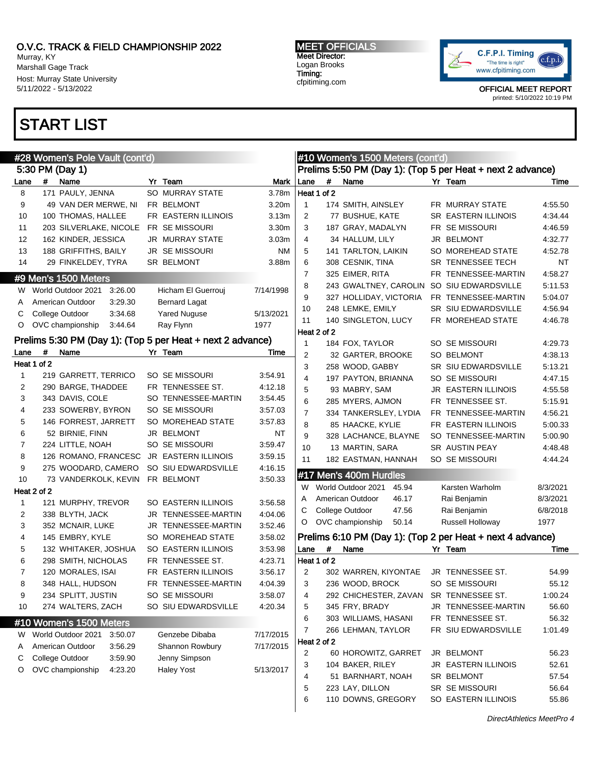Murray, KY Marshall Gage Track Host: Murray State University 5/11/2022 - 5/13/2022

## START LIST

MEET OFFICIALS Meet Director: Logan Brooks Timing: cfpitiming.com



|        |             | #28 Women's Pole Vault (cont'd)       |                                                            |           |                |             | #10 Women's 1500 Meters (cont'd) |                                                            |          |
|--------|-------------|---------------------------------------|------------------------------------------------------------|-----------|----------------|-------------|----------------------------------|------------------------------------------------------------|----------|
|        |             | 5:30 PM (Day 1)                       |                                                            |           |                |             |                                  | Prelims 5:50 PM (Day 1): (Top 5 per Heat + next 2 advance) |          |
| Lane   | #           | Name                                  | Yr Team                                                    | Mark      | Lane           | $\#$        | Name                             | Yr Team                                                    | Time     |
| 8      |             | 171 PAULY, JENNA                      | SO MURRAY STATE                                            | 3.78m     |                | Heat 1 of 2 |                                  |                                                            |          |
| 9      |             | 49 VAN DER MERWE, NI                  | FR BELMONT                                                 | 3.20m     | $\mathbf{1}$   |             | 174 SMITH, AINSLEY               | FR MURRAY STATE                                            | 4:55.50  |
| 10     |             | 100 THOMAS, HALLEE                    | FR EASTERN ILLINOIS                                        | 3.13m     | 2              |             | 77 BUSHUE, KATE                  | <b>SR EASTERN ILLINOIS</b>                                 | 4:34.44  |
| 11     |             | 203 SILVERLAKE, NICOLE                | FR SE MISSOURI                                             | 3.30m     | 3              |             | 187 GRAY, MADALYN                | FR SE MISSOURI                                             | 4:46.59  |
| 12     |             | 162 KINDER, JESSICA                   | JR MURRAY STATE                                            | 3.03m     | 4              |             | 34 HALLUM, LILY                  | JR BELMONT                                                 | 4:32.77  |
| 13     |             | 188 GRIFFITHS, BAILY                  | <b>JR SE MISSOURI</b>                                      | <b>NM</b> | 5              |             | 141 TARLTON, LAIKIN              | SO MOREHEAD STATE                                          | 4:52.78  |
| 14     |             | 29 FINKELDEY, TYRA                    | SR BELMONT                                                 | 3.88m     | 6              |             | 308 CESNIK, TINA                 | SR TENNESSEE TECH                                          | NT       |
|        |             | #9 Men's 1500 Meters                  |                                                            |           | $\overline{7}$ |             | 325 EIMER, RITA                  | FR TENNESSEE-MARTIN                                        | 4:58.27  |
| W.     |             | World Outdoor 2021<br>3:26.00         | Hicham El Guerrouj                                         | 7/14/1998 | 8              |             | 243 GWALTNEY, CAROLIN            | SO SIU EDWARDSVILLE                                        | 5:11.53  |
| A      |             | American Outdoor<br>3:29.30           | <b>Bernard Lagat</b>                                       |           | 9              |             | 327 HOLLIDAY, VICTORIA           | FR TENNESSEE-MARTIN                                        | 5:04.07  |
| С      |             | College Outdoor<br>3:34.68            | <b>Yared Nuguse</b>                                        | 5/13/2021 | 10             |             | 248 LEMKE, EMILY                 | SR SIU EDWARDSVILLE                                        | 4:56.94  |
| O      |             | OVC championship<br>3:44.64           | Ray Flynn                                                  | 1977      | 11             |             | 140 SINGLETON, LUCY              | FR MOREHEAD STATE                                          | 4:46.78  |
|        |             |                                       |                                                            |           |                | Heat 2 of 2 |                                  |                                                            |          |
|        |             |                                       | Prelims 5:30 PM (Day 1): (Top 5 per Heat + next 2 advance) |           | $\mathbf{1}$   |             | 184 FOX, TAYLOR                  | SO SE MISSOURI                                             | 4:29.73  |
| Lane   | #           | Name                                  | Yr Team                                                    | Time      | 2              |             | 32 GARTER, BROOKE                | SO BELMONT                                                 | 4:38.13  |
|        | Heat 1 of 2 |                                       |                                                            |           | 3              |             | 258 WOOD, GABBY                  | SR SIU EDWARDSVILLE                                        | 5:13.21  |
| 1      |             | 219 GARRETT, TERRICO                  | SO SE MISSOURI                                             | 3:54.91   | $\overline{4}$ |             | 197 PAYTON, BRIANNA              | SO SE MISSOURI                                             | 4:47.15  |
| 2      |             | 290 BARGE, THADDEE                    | FR TENNESSEE ST.                                           | 4:12.18   | 5              |             | 93 MABRY, SAM                    | JR EASTERN ILLINOIS                                        | 4:55.58  |
| 3      |             | 343 DAVIS, COLE                       | SO TENNESSEE-MARTIN                                        | 3:54.45   | 6              |             | 285 MYERS, AJMON                 | FR TENNESSEE ST.                                           | 5:15.91  |
| 4      |             | 233 SOWERBY, BYRON                    | <b>SO SE MISSOURI</b>                                      | 3:57.03   | $\overline{7}$ |             | 334 TANKERSLEY, LYDIA            | FR TENNESSEE-MARTIN                                        | 4:56.21  |
| 5      |             | 146 FORREST, JARRETT                  | SO MOREHEAD STATE                                          | 3.57.83   | 8              |             | 85 HAACKE, KYLIE                 | FR EASTERN ILLINOIS                                        | 5:00.33  |
| 6      |             | 52 BIRNIE, FINN                       | JR BELMONT                                                 | ΝT        | 9              |             | 328 LACHANCE, BLAYNE             | SO TENNESSEE-MARTIN                                        | 5:00.90  |
| 7      |             | 224 LITTLE, NOAH                      | SO SE MISSOURI                                             | 3:59.47   | 10             |             | 13 MARTIN, SARA                  | SR AUSTIN PEAY                                             | 4:48.48  |
| 8      |             | 126 ROMANO, FRANCESC                  | <b>JR EASTERN ILLINOIS</b>                                 | 3:59.15   | 11             |             | 182 EASTMAN, HANNAH              | SO SE MISSOURI                                             | 4:44.24  |
| 9      |             | 275 WOODARD, CAMERO                   | SO SIU EDWARDSVILLE                                        | 4:16.15   |                |             | #17 Men's 400m Hurdles           |                                                            |          |
| 10     | Heat 2 of 2 | 73 VANDERKOLK, KEVIN                  | FR BELMONT                                                 | 3:50.33   | W              |             | World Outdoor 2021<br>45.94      | Karsten Warholm                                            | 8/3/2021 |
|        |             |                                       | SO EASTERN ILLINOIS                                        | 3:56.58   | Α              |             | American Outdoor<br>46.17        | Rai Benjamin                                               | 8/3/2021 |
| 1<br>2 |             | 121 MURPHY, TREVOR<br>338 BLYTH, JACK | JR TENNESSEE-MARTIN                                        | 4:04.06   | С              |             | College Outdoor<br>47.56         | Rai Benjamin                                               | 6/8/2018 |
| 3      |             |                                       | JR TENNESSEE-MARTIN                                        | 3:52.46   | O              |             | OVC championship<br>50.14        | Russell Holloway                                           | 1977     |
| 4      |             | 352 MCNAIR, LUKE<br>145 EMBRY, KYLE   | SO MOREHEAD STATE                                          | 3:58.02   |                |             |                                  | Prelims 6:10 PM (Day 1): (Top 2 per Heat + next 4 advance) |          |
| 5      |             | 132 WHITAKER, JOSHUA                  | SO EASTERN ILLINOIS                                        | 3:53.98   | Lane           | #           | Name                             | Yr Team                                                    | Time     |
| 6      |             | 298 SMITH, NICHOLAS                   | FR TENNESSEE ST.                                           | 4:23.71   |                | Heat 1 of 2 |                                  |                                                            |          |
| 7      |             | 120 MORALES, ISAI                     | FR EASTERN ILLINOIS                                        | 3:56.17   | 2              |             | 302 WARREN, KIYONTAE             | JR TENNESSEE ST.                                           | 54.99    |
| 8      |             | 348 HALL, HUDSON                      | FR TENNESSEE-MARTIN                                        | 4:04.39   | 3              |             | 236 WOOD, BROCK                  | SO SE MISSOURI                                             | 55.12    |
| 9      |             | 234 SPLITT, JUSTIN                    | SO SE MISSOURI                                             | 3:58.07   | 4              |             | 292 CHICHESTER, ZAVAN            | SR TENNESSEE ST.                                           | 1:00.24  |
| 10     |             | 274 WALTERS, ZACH                     | SO SIU EDWARDSVILLE                                        | 4:20.34   | 5              |             | 345 FRY, BRADY                   | JR TENNESSEE-MARTIN                                        | 56.60    |
|        |             |                                       |                                                            |           | 6              |             | 303 WILLIAMS, HASANI             | FR TENNESSEE ST.                                           | 56.32    |
|        |             | #10 Women's 1500 Meters               |                                                            |           | 7              |             | 266 LEHMAN, TAYLOR               | FR SIU EDWARDSVILLE                                        | 1:01.49  |
| W      |             | World Outdoor 2021<br>3:50.07         | Genzebe Dibaba                                             | 7/17/2015 |                |             |                                  |                                                            |          |
| Α      |             | American Outdoor<br>3:56.29           | Shannon Rowbury                                            | 7/17/2015 | 2              | Heat 2 of 2 | 60 HOROWITZ, GARRET              | JR BELMONT                                                 | 56.23    |
| С      |             | College Outdoor<br>3:59.90            | Jenny Simpson                                              |           | 3              |             | 104 BAKER, RILEY                 | JR EASTERN ILLINOIS                                        | 52.61    |
| O      |             | OVC championship<br>4:23.20           | <b>Haley Yost</b>                                          | 5/13/2017 | 4              |             | 51 BARNHART, NOAH                | SR BELMONT                                                 | 57.54    |
|        |             |                                       |                                                            |           | 5              |             | 223 LAY, DILLON                  | SR SE MISSOURI                                             | 56.64    |
|        |             |                                       |                                                            |           | 6              |             | 110 DOWNS, GREGORY               | SO EASTERN ILLINOIS                                        | 55.86    |
|        |             |                                       |                                                            |           |                |             |                                  |                                                            |          |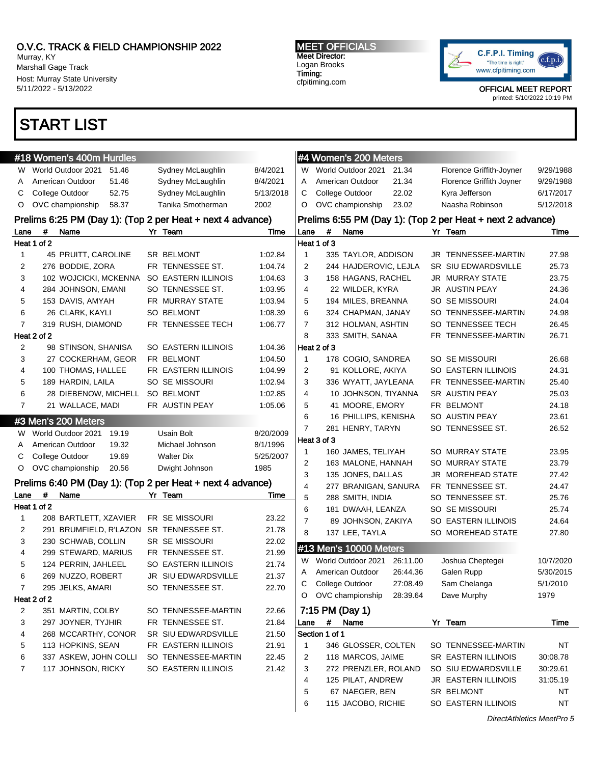Murray, KY Marshall Gage Track Host: Murray State University 5/11/2022 - 5/13/2022

## START LIST

MEET OFFICIALS Meet Director: Logan Brooks Timing: cfpitiming.com



OFFICIAL MEET REPORT

| printed: 5/10/2022 10:19 PM |  |
|-----------------------------|--|
|-----------------------------|--|

|                | #18 Women's 400m Hurdles                                   |                            |           |                | #4 Women's 200 Meters                        |          |                                                            |           |
|----------------|------------------------------------------------------------|----------------------------|-----------|----------------|----------------------------------------------|----------|------------------------------------------------------------|-----------|
| W.             | World Outdoor 2021<br>51.46                                | Sydney McLaughlin          | 8/4/2021  | W              | World Outdoor 2021                           | 21.34    | Florence Griffith-Joyner                                   | 9/29/1988 |
| A              | American Outdoor<br>51.46                                  | Sydney McLaughlin          | 8/4/2021  | Α              | American Outdoor                             | 21.34    | Florence Griffith Joyner                                   | 9/29/1988 |
| С              | College Outdoor<br>52.75                                   | Sydney McLaughlin          | 5/13/2018 | С              | College Outdoor                              | 22.02    | Kyra Jefferson                                             | 6/17/2017 |
| O              | OVC championship<br>58.37                                  | Tanika Smotherman          | 2002      | O              | OVC championship                             | 23.02    | Naasha Robinson                                            | 5/12/2018 |
|                |                                                            |                            |           |                |                                              |          |                                                            |           |
|                | Prelims 6:25 PM (Day 1): (Top 2 per Heat + next 4 advance) |                            |           |                |                                              |          | Prelims 6:55 PM (Day 1): (Top 2 per Heat + next 2 advance) |           |
| Lane           | #<br>Name<br>Heat 1 of 2                                   | Yr Team                    | Time      | Lane           | #<br>Name<br>Heat 1 of 3                     |          | Yr Team                                                    | Time      |
| 1              | 45 PRUITT, CAROLINE                                        | SR BELMONT                 | 1:02.84   | 1              |                                              |          | JR TENNESSEE-MARTIN                                        | 27.98     |
|                | 276 BODDIE, ZORA                                           | FR TENNESSEE ST.           | 1:04.74   | 2              | 335 TAYLOR, ADDISON<br>244 HAJDEROVIC, LEJLA |          | SR SIU EDWARDSVILLE                                        | 25.73     |
| 2              | 102 WOJCICKI, MCKENNA                                      |                            |           |                |                                              |          |                                                            |           |
| 3              |                                                            | SO EASTERN ILLINOIS        | 1:04.63   | 3              | 158 HAGANS, RACHEL                           |          | JR MURRAY STATE                                            | 23.75     |
| 4              | 284 JOHNSON, EMANI                                         | SO TENNESSEE ST.           | 1:03.95   | 4              | 22 WILDER, KYRA                              |          | JR AUSTIN PEAY                                             | 24.36     |
| 5              | 153 DAVIS, AMYAH                                           | FR MURRAY STATE            | 1:03.94   | 5              | 194 MILES, BREANNA                           |          | SO SE MISSOURI                                             | 24.04     |
| 6              | 26 CLARK, KAYLI                                            | <b>SO BELMONT</b>          | 1:08.39   | 6              | 324 CHAPMAN, JANAY                           |          | SO TENNESSEE-MARTIN                                        | 24.98     |
| $\overline{7}$ | 319 RUSH, DIAMOND                                          | FR TENNESSEE TECH          | 1:06.77   | 7              | 312 HOLMAN, ASHTIN                           |          | SO TENNESSEE TECH                                          | 26.45     |
|                | Heat 2 of 2                                                |                            |           | 8              | 333 SMITH, SANAA                             |          | FR TENNESSEE-MARTIN                                        | 26.71     |
| 2              | 98 STINSON, SHANISA                                        | <b>SO EASTERN ILLINOIS</b> | 1:04.36   |                | Heat 2 of 3                                  |          |                                                            |           |
| 3              | 27 COCKERHAM, GEOR                                         | FR BELMONT                 | 1:04.50   | $\mathbf{1}$   | 178 COGIO, SANDREA                           |          | SO SE MISSOURI                                             | 26.68     |
| 4              | 100 THOMAS, HALLEE                                         | FR EASTERN ILLINOIS        | 1:04.99   | 2              | 91 KOLLORE, AKIYA                            |          | SO EASTERN ILLINOIS                                        | 24.31     |
| 5              | 189 HARDIN, LAILA                                          | SO SE MISSOURI             | 1:02.94   | 3              | 336 WYATT, JAYLEANA                          |          | FR TENNESSEE-MARTIN                                        | 25.40     |
| 6              | 28 DIEBENOW, MICHELL                                       | <b>SO BELMONT</b>          | 1:02.85   | 4              | 10 JOHNSON, TIYANNA                          |          | SR AUSTIN PEAY                                             | 25.03     |
| $\overline{7}$ | 21 WALLACE, MADI                                           | FR AUSTIN PEAY             | 1:05.06   | 5              | 41 MOORE, EMORY                              |          | FR BELMONT                                                 | 24.18     |
|                | #3 Men's 200 Meters                                        |                            |           | 6              | 16 PHILLIPS, KENISHA                         |          | SO AUSTIN PEAY                                             | 23.61     |
| W.             | World Outdoor 2021<br>19.19                                | Usain Bolt                 | 8/20/2009 | 7              | 281 HENRY, TARYN                             |          | SO TENNESSEE ST.                                           | 26.52     |
| A              | American Outdoor<br>19.32                                  | Michael Johnson            | 8/1/1996  |                | Heat 3 of 3                                  |          |                                                            |           |
| С              | College Outdoor<br>19.69                                   | <b>Walter Dix</b>          | 5/25/2007 | 1              | 160 JAMES, TELIYAH                           |          | SO MURRAY STATE                                            | 23.95     |
| $\circ$        | OVC championship<br>20.56                                  | Dwight Johnson             | 1985      | 2              | 163 MALONE, HANNAH                           |          | SO MURRAY STATE                                            | 23.79     |
|                |                                                            |                            |           | 3              | 135 JONES, DALLAS                            |          | JR MOREHEAD STATE                                          | 27.42     |
|                | Prelims 6:40 PM (Day 1): (Top 2 per Heat + next 4 advance) |                            |           | 4              | 277 BRANIGAN, SANURA                         |          | FR TENNESSEE ST.                                           | 24.47     |
| Lane           | #<br>Name                                                  | Yr Team                    | Time      | 5              | 288 SMITH, INDIA                             |          | SO TENNESSEE ST.                                           | 25.76     |
|                | Heat 1 of 2                                                |                            |           | 6              | 181 DWAAH, LEANZA                            |          | SO SE MISSOURI                                             | 25.74     |
| 1              | 208 BARTLETT, XZAVIER                                      | FR SE MISSOURI             | 23.22     | $\overline{7}$ | 89 JOHNSON, ZAKIYA                           |          | SO EASTERN ILLINOIS                                        | 24.64     |
| 2              | 291 BRUMFIELD, R'LAZON                                     | SR TENNESSEE ST.           | 21.78     | 8              | 137 LEE, TAYLA                               |          | SO MOREHEAD STATE                                          | 27.80     |
| 3              | 230 SCHWAB, COLLIN                                         | <b>SR SE MISSOURI</b>      | 22.02     |                | #13 Men's 10000 Meters                       |          |                                                            |           |
| 4              | 299 STEWARD, MARIUS                                        | FR TENNESSEE ST.           | 21.99     | W              | World Outdoor 2021                           | 26:11.00 | Joshua Cheptegei                                           | 10/7/2020 |
| 5              | 124 PERRIN, JAHLEEL                                        | SO EASTERN ILLINOIS        | 21.74     | A              | American Outdoor                             | 26:44.36 | Galen Rupp                                                 | 5/30/2015 |
| 6              | 269 NUZZO, ROBERT                                          | JR SIU EDWARDSVILLE        | 21.37     |                | College Outdoor                              | 27:08.49 | Sam Chelanga                                               | 5/1/2010  |
| 7              | 295 JELKS, AMARI                                           | SO TENNESSEE ST.           | 22.70     | С              |                                              |          |                                                            |           |
|                | Heat 2 of 2                                                |                            |           | O              | OVC championship                             | 28:39.64 | Dave Murphy                                                | 1979      |
| $\overline{c}$ | 351 MARTIN, COLBY                                          | SO TENNESSEE-MARTIN        | 22.66     |                | 7:15 PM (Day 1)                              |          |                                                            |           |
| 3              | 297 JOYNER, TYJHIR                                         | FR TENNESSEE ST.           | 21.84     | Lane           | #<br>Name                                    |          | Yr Team                                                    | Time      |
| 4              | 268 MCCARTHY, CONOR                                        | SR SIU EDWARDSVILLE        | 21.50     |                | Section 1 of 1                               |          |                                                            |           |
| 5              | 113 HOPKINS, SEAN                                          | FR EASTERN ILLINOIS        | 21.91     | $\mathbf{1}$   | 346 GLOSSER, COLTEN                          |          | SO TENNESSEE-MARTIN                                        | NT        |
| 6              | 337 ASKEW, JOHN COLLI                                      | SO TENNESSEE-MARTIN        | 22.45     | 2              | 118 MARCOS, JAIME                            |          | SR EASTERN ILLINOIS                                        | 30:08.78  |
| $\overline{7}$ | 117 JOHNSON, RICKY                                         | SO EASTERN ILLINOIS        | 21.42     | 3              | 272 PRENZLER, ROLAND                         |          | SO SIU EDWARDSVILLE                                        | 30:29.61  |
|                |                                                            |                            |           | 4              | 125 PILAT, ANDREW                            |          | JR EASTERN ILLINOIS                                        | 31:05.19  |
|                |                                                            |                            |           | 5              | 67 NAEGER, BEN                               |          | SR BELMONT                                                 | NT        |

6 115 JACOBO, RICHIE SO EASTERN ILLINOIS NT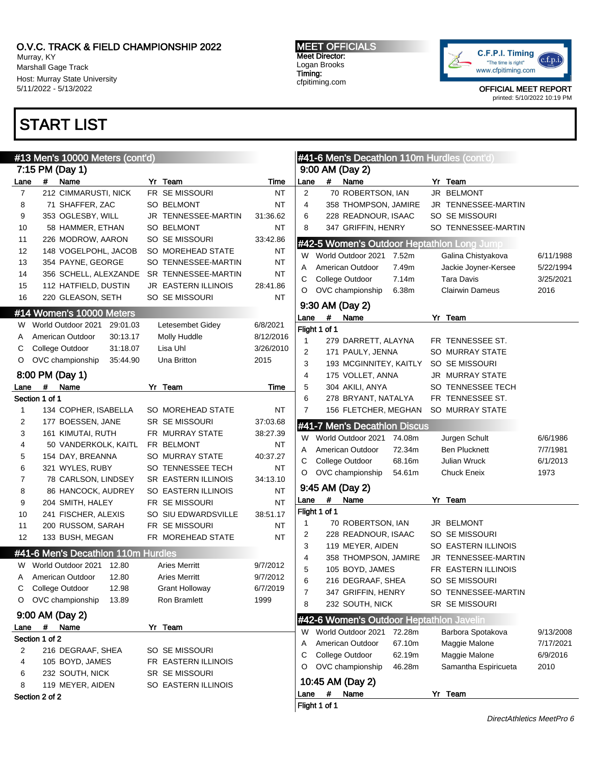Murray, KY Marshall Gage Track Host: Murray State University 5/11/2022 - 5/13/2022

# START LIST

#### MEET OFFICIALS Meet Director: Logan Brooks Timing: cfpitiming.com



|                |                | #13 Men's 10000 Meters (cont'd)    |                            |           |              |               | #41-6 Men's Decathion 110m Hurdles (cont'd) |        |                                            |           |
|----------------|----------------|------------------------------------|----------------------------|-----------|--------------|---------------|---------------------------------------------|--------|--------------------------------------------|-----------|
|                |                | 7:15 PM (Day 1)                    |                            |           |              |               | 9:00 AM (Day 2)                             |        |                                            |           |
| Lane           | #              | Name                               | Yr Team                    | Time      | Lane         | #             | Name                                        |        | Yr Team                                    |           |
| $\overline{7}$ |                | 212 CIMMARUSTI, NICK               | FR SE MISSOURI             | NT        | 2            |               | 70 ROBERTSON, IAN                           |        | JR BELMONT                                 |           |
| 8              |                | 71 SHAFFER, ZAC                    | SO BELMONT                 | NT        | 4            |               | 358 THOMPSON, JAMIRE                        |        | JR TENNESSEE-MARTIN                        |           |
| 9              |                | 353 OGLESBY, WILL                  | JR TENNESSEE-MARTIN        | 31:36.62  | 6            |               | 228 READNOUR, ISAAC                         |        | SO SE MISSOURI                             |           |
| 10             |                | 58 HAMMER, ETHAN                   | <b>SO BELMONT</b>          | NT        | 8            |               | 347 GRIFFIN, HENRY                          |        | SO TENNESSEE-MARTIN                        |           |
| 11             |                | 226 MODROW, AARON                  | SO SE MISSOURI             | 33:42.86  |              |               |                                             |        |                                            |           |
| 12             |                | 148 VOGELPOHL, JACOB               | SO MOREHEAD STATE          | NT        |              |               |                                             |        | #42-5 Women's Outdoor Heptathlon Long Jump |           |
| 13             |                | 354 PAYNE, GEORGE                  | SO TENNESSEE-MARTIN        | NT        | W            |               | World Outdoor 2021 7.52m                    |        | Galina Chistyakova                         | 6/11/1988 |
| 14             |                | 356 SCHELL, ALEXZANDE              | SR TENNESSEE-MARTIN        | NT        | Α            |               | American Outdoor                            | 7.49m  | Jackie Joyner-Kersee                       | 5/22/1994 |
| 15             |                | 112 HATFIELD, DUSTIN               | <b>JR EASTERN ILLINOIS</b> | 28:41.86  | С            |               | College Outdoor                             | 7.14m  | <b>Tara Davis</b>                          | 3/25/2021 |
| 16             |                | 220 GLEASON, SETH                  | SO SE MISSOURI             | NT        | O            |               | OVC championship                            | 6.38m  | <b>Clairwin Dameus</b>                     | 2016      |
|                |                |                                    |                            |           |              |               | 9:30 AM (Day 2)                             |        |                                            |           |
|                |                | #14 Women's 10000 Meters           |                            |           | Lane         | $\#$          | Name                                        |        | Yr Team                                    |           |
| W              |                | World Outdoor 2021<br>29:01.03     | Letesembet Gidey           | 6/8/2021  |              | Flight 1 of 1 |                                             |        |                                            |           |
| A              |                | American Outdoor<br>30:13.17       | Molly Huddle               | 8/12/2016 | 1            |               | 279 DARRETT, ALAYNA                         |        | FR TENNESSEE ST.                           |           |
| С              |                | College Outdoor<br>31:18.07        | Lisa Uhl                   | 3/26/2010 | 2            |               | 171 PAULY, JENNA                            |        | SO MURRAY STATE                            |           |
| O              |                | OVC championship<br>35:44.90       | Una Britton                | 2015      | 3            |               | 193 MCGINNITEY, KAITLY                      |        | SO SE MISSOURI                             |           |
|                |                | 8:00 PM (Day 1)                    |                            |           | 4            |               | 175 VOLLET, ANNA                            |        | JR MURRAY STATE                            |           |
| Lane           | #              | Name                               | Yr Team                    | Time      | 5            |               | 304 AKILI, ANYA                             |        | SO TENNESSEE TECH                          |           |
|                | Section 1 of 1 |                                    |                            |           | 6            |               | 278 BRYANT, NATALYA                         |        | FR TENNESSEE ST.                           |           |
| 1              |                | 134 COPHER, ISABELLA               | SO MOREHEAD STATE          | ΝT        | 7            |               | 156 FLETCHER, MEGHAN                        |        | SO MURRAY STATE                            |           |
| 2              |                | 177 BOESSEN, JANE                  | <b>SR SE MISSOURI</b>      | 37:03.68  |              |               |                                             |        |                                            |           |
| 3              |                | 161 KIMUTAI, RUTH                  | FR MURRAY STATE            | 38:27.39  |              |               | #41-7 Men's Decathlon Discus                |        |                                            |           |
| 4              |                | 50 VANDERKOLK, KAITL               | FR BELMONT                 | NT        | W            |               | World Outdoor 2021                          | 74.08m | Jurgen Schult                              | 6/6/1986  |
| 5              |                | 154 DAY, BREANNA                   | SO MURRAY STATE            | 40:37.27  | Α            |               | American Outdoor                            | 72.34m | <b>Ben Plucknett</b>                       | 7/7/1981  |
| 6              |                | 321 WYLES, RUBY                    | SO TENNESSEE TECH          | ΝT        | С            |               | College Outdoor                             | 68.16m | Julian Wruck                               | 6/1/2013  |
| $\overline{7}$ |                | 78 CARLSON, LINDSEY                | SR EASTERN ILLINOIS        | 34:13.10  | O            |               | OVC championship                            | 54.61m | <b>Chuck Eneix</b>                         | 1973      |
| 8              |                | 86 HANCOCK, AUDREY                 | SO EASTERN ILLINOIS        | NT        |              |               | 9:45 AM (Day 2)                             |        |                                            |           |
| 9              |                | 204 SMITH, HALEY                   | FR SE MISSOURI             | <b>NT</b> | Lane         | $\#$          | Name                                        |        | Yr Team                                    |           |
| 10             |                | 241 FISCHER, ALEXIS                | SO SIU EDWARDSVILLE        | 38:51.17  |              | Flight 1 of 1 |                                             |        |                                            |           |
| 11             |                | 200 RUSSOM, SARAH                  | FR SE MISSOURI             | NT        | $\mathbf{1}$ |               | 70 ROBERTSON, IAN                           |        | JR BELMONT                                 |           |
| 12             |                | 133 BUSH, MEGAN                    | FR MOREHEAD STATE          | NT        | 2            |               | 228 READNOUR, ISAAC                         |        | SO SE MISSOURI                             |           |
|                |                |                                    |                            |           | 3            |               | 119 MEYER, AIDEN                            |        | SO EASTERN ILLINOIS                        |           |
|                |                | #41-6 Men's Decathlon 110m Hurdles |                            |           | 4            |               | 358 THOMPSON, JAMIRE                        |        | JR TENNESSEE-MARTIN                        |           |
| w              |                | World Outdoor 2021 12.80           | <b>Aries Merritt</b>       | 9/7/2012  | 5            |               | 105 BOYD, JAMES                             |        | FR EASTERN ILLINOIS                        |           |
|                |                | American Outdoor<br>12.80          | <b>Aries Merritt</b>       | 9/7/2012  | 6            |               | 216 DEGRAAF, SHEA                           |        | <b>SO SE MISSOURI</b>                      |           |
|                |                | College Outdoor<br>12.98           | <b>Grant Holloway</b>      | 6/7/2019  | 7            |               | 347 GRIFFIN, HENRY                          |        | SO TENNESSEE-MARTIN                        |           |
| O              |                | OVC championship<br>13.89          | Ron Bramlett               | 1999      | 8            |               | 232 SOUTH, NICK                             |        | SR SE MISSOURI                             |           |
|                |                | 9:00 AM (Day 2)                    |                            |           |              |               |                                             |        |                                            |           |
| Lane           | $\#$           | Name                               | Yr Team                    |           |              |               | #42-6 Women's Outdoor Heptathlon Javelin    |        |                                            |           |
|                | Section 1 of 2 |                                    |                            |           | W            |               | World Outdoor 2021 72.28m                   |        | Barbora Spotakova                          | 9/13/2008 |
| 2              |                | 216 DEGRAAF, SHEA                  | SO SE MISSOURI             |           | Α            |               | American Outdoor                            | 67.10m | Maggie Malone                              | 7/17/2021 |
| 4              |                | 105 BOYD, JAMES                    | FR EASTERN ILLINOIS        |           | С            |               | College Outdoor                             | 62.19m | Maggie Malone                              | 6/9/2016  |
| 6              |                | 232 SOUTH, NICK                    | SR SE MISSOURI             |           | O            |               | OVC championship                            | 46.28m | Samantha Espiricueta                       | 2010      |
| 8              |                | 119 MEYER, AIDEN                   | SO EASTERN ILLINOIS        |           |              |               | 10:45 AM (Day 2)                            |        |                                            |           |
|                | Section 2 of 2 |                                    |                            |           | Lane         | #             | Name                                        |        | Yr Team                                    |           |
|                |                |                                    |                            |           |              | Flight 1 of 1 |                                             |        |                                            |           |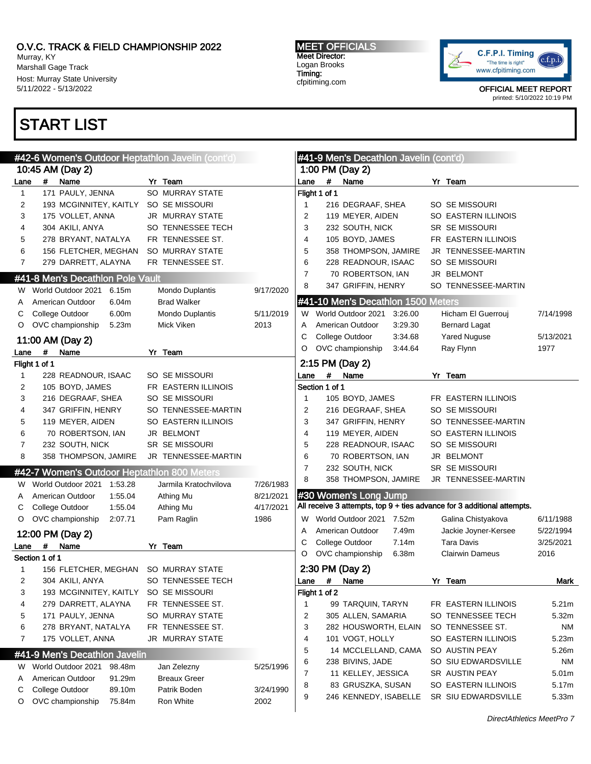Murray, KY Marshall Gage Track Host: Murray State University 5/11/2022 - 5/13/2022

# START LIST

MEET OFFICIALS Meet Director: Logan Brooks Timing: cfpitiming.com



|              | #42-6 Women's Outdoor Heptathlon Javelin (cont'd |                        |                   |                |                | #41-9 Men's Decathlon Javelin (cont'd) |         |                                                                         |           |
|--------------|--------------------------------------------------|------------------------|-------------------|----------------|----------------|----------------------------------------|---------|-------------------------------------------------------------------------|-----------|
|              | 10:45 AM (Day 2)                                 |                        |                   |                |                | 1:00 PM (Day 2)                        |         |                                                                         |           |
| Lane         | #<br>Name                                        | Yr Team                |                   | Lane           | #              | Name                                   |         | Yr Team                                                                 |           |
| $\mathbf{1}$ | 171 PAULY, JENNA                                 | SO MURRAY STATE        |                   |                | Flight 1 of 1  |                                        |         |                                                                         |           |
| 2            | 193 MCGINNITEY, KAITLY                           | SO SE MISSOURI         |                   | 1              |                | 216 DEGRAAF, SHEA                      |         | SO SE MISSOURI                                                          |           |
| 3            | 175 VOLLET, ANNA                                 | JR MURRAY STATE        |                   | 2              |                | 119 MEYER, AIDEN                       |         | SO EASTERN ILLINOIS                                                     |           |
| 4            | 304 AKILI, ANYA                                  | SO TENNESSEE TECH      |                   | 3              |                | 232 SOUTH, NICK                        |         | SR SE MISSOURI                                                          |           |
| 5            | 278 BRYANT, NATALYA                              | FR TENNESSEE ST.       |                   | 4              |                | 105 BOYD, JAMES                        |         | FR EASTERN ILLINOIS                                                     |           |
| 6            | 156 FLETCHER, MEGHAN                             | <b>SO MURRAY STATE</b> |                   | 5              |                | 358 THOMPSON, JAMIRE                   |         | JR TENNESSEE-MARTIN                                                     |           |
| 7            | 279 DARRETT, ALAYNA                              | FR TENNESSEE ST.       |                   | 6              |                | 228 READNOUR, ISAAC                    |         | SO SE MISSOURI                                                          |           |
|              | #41-8 Men's Decathlon Pole Vault                 |                        |                   | $\overline{7}$ |                | 70 ROBERTSON, IAN                      |         | JR BELMONT                                                              |           |
| W            | World Outdoor 2021<br>6.15m                      | Mondo Duplantis        | 9/17/2020         | 8              |                | 347 GRIFFIN, HENRY                     |         | SO TENNESSEE-MARTIN                                                     |           |
| A            | 6.04m<br>American Outdoor                        | <b>Brad Walker</b>     |                   |                |                | #41-10 Men's Decathlon 1500 Meters     |         |                                                                         |           |
| С            | College Outdoor<br>6.00m                         | Mondo Duplantis        | 5/11/2019         | W              |                | World Outdoor 2021                     | 3:26.00 | Hicham El Guerrouj                                                      | 7/14/1998 |
| O            | OVC championship<br>5.23m                        | Mick Viken             | 2013              | Α              |                | American Outdoor                       | 3:29.30 | <b>Bernard Lagat</b>                                                    |           |
|              | 11:00 AM (Day 2)                                 |                        |                   | С              |                | College Outdoor                        | 3:34.68 | <b>Yared Nuguse</b>                                                     | 5/13/2021 |
| Lane         | #<br>Name                                        | Yr Team                |                   | O              |                | OVC championship                       | 3:44.64 | Ray Flynn                                                               | 1977      |
|              | Flight 1 of 1                                    |                        |                   |                |                | 2:15 PM (Day 2)                        |         |                                                                         |           |
| 1            | 228 READNOUR, ISAAC                              | SO SE MISSOURI         |                   | Lane           | #              | Name                                   |         | Yr Team                                                                 |           |
| 2            | 105 BOYD, JAMES                                  | FR EASTERN ILLINOIS    |                   |                | Section 1 of 1 |                                        |         |                                                                         |           |
| 3            | 216 DEGRAAF, SHEA                                | SO SE MISSOURI         |                   | 1              |                | 105 BOYD, JAMES                        |         | FR EASTERN ILLINOIS                                                     |           |
| 4            | 347 GRIFFIN, HENRY                               | SO TENNESSEE-MARTIN    |                   | 2              |                | 216 DEGRAAF, SHEA                      |         | SO SE MISSOURI                                                          |           |
| 5            | 119 MEYER, AIDEN                                 | SO EASTERN ILLINOIS    |                   | 3              |                | 347 GRIFFIN, HENRY                     |         | SO TENNESSEE-MARTIN                                                     |           |
| 6            | 70 ROBERTSON, IAN                                | JR BELMONT             |                   | 4              |                | 119 MEYER, AIDEN                       |         | SO EASTERN ILLINOIS                                                     |           |
| 7            | 232 SOUTH, NICK                                  | SR SE MISSOURI         |                   | 5              |                | 228 READNOUR, ISAAC                    |         | SO SE MISSOURI                                                          |           |
| 8            | 358 THOMPSON, JAMIRE                             | JR TENNESSEE-MARTIN    |                   | 6              |                | 70 ROBERTSON, IAN                      |         | JR BELMONT                                                              |           |
|              |                                                  |                        |                   | $\overline{7}$ |                | 232 SOUTH, NICK                        |         | SR SE MISSOURI                                                          |           |
|              | #42-7 Women's Outdoor Heptathlon 800 Meters      |                        |                   | 8              |                | 358 THOMPSON, JAMIRE                   |         | JR TENNESSEE-MARTIN                                                     |           |
| W            | World Outdoor 2021<br>1:53.28                    | Jarmila Kratochvilova  | 7/26/1983         |                |                |                                        |         |                                                                         |           |
| Α            | American Outdoor<br>1:55.04                      | Athing Mu              | 8/21/2021         |                |                | #30 Women's Long Jump                  |         | All receive 3 attempts, top 9 + ties advance for 3 additional attempts. |           |
| С            | College Outdoor<br>1:55.04                       | Athing Mu              | 4/17/2021         |                |                |                                        |         |                                                                         |           |
| O            | OVC championship<br>2:07.71                      | Pam Raglin             | 1986              | W              |                | World Outdoor 2021 7.52m               |         | Galina Chistyakova                                                      | 6/11/1988 |
|              | 12:00 PM (Day 2)                                 |                        |                   | Α              |                | American Outdoor                       | 7.49m   | Jackie Joyner-Kersee                                                    | 5/22/1994 |
| Lane         | $\pmb{\#}$<br>Name                               | Yr Team                |                   | С              |                | College Outdoor                        | 7.14m   | <b>Tara Davis</b>                                                       | 3/25/2021 |
|              | Section 1 of 1                                   |                        |                   | O              |                | OVC championship                       | 6.38m   | <b>Clairwin Dameus</b>                                                  | 2016      |
| 1            | 156 FLETCHER, MEGHAN                             | SO MURRAY STATE        |                   |                |                | 2:30 PM (Day 2)                        |         |                                                                         |           |
| 2            | 304 AKILI, ANYA                                  | SO TENNESSEE TECH      |                   | Lane           | $\#$           | Name                                   |         | Yr Team                                                                 | Mark      |
| 3            | 193 MCGINNITEY, KAITLY                           | SO SE MISSOURI         |                   | Flight 1 of 2  |                |                                        |         |                                                                         |           |
| 4            | 279 DARRETT, ALAYNA                              | FR TENNESSEE ST.       |                   | 1              |                | 99 TARQUIN, TARYN                      |         | FR EASTERN ILLINOIS                                                     | 5.21m     |
| 5            | 171 PAULY, JENNA                                 | SO MURRAY STATE        |                   | 2              |                | 305 ALLEN, SAMARIA                     |         | SO TENNESSEE TECH                                                       | 5.32m     |
| 6            | 278 BRYANT, NATALYA                              | FR TENNESSEE ST.       |                   | 3              |                | 282 HOUSWORTH, ELAIN                   |         | SO TENNESSEE ST.                                                        | ΝM        |
| 7            | 175 VOLLET, ANNA                                 | <b>JR MURRAY STATE</b> |                   | 4              |                | 101 VOGT, HOLLY                        |         | SO EASTERN ILLINOIS                                                     | 5.23m     |
|              | #41-9 Men's Decathlon Javelin                    |                        |                   | 5              |                | 14 MCCLELLAND, CAMA                    |         | SO AUSTIN PEAY                                                          | 5.26m     |
|              | World Outdoor 2021<br>98.48m                     | Jan Zelezny            | 5/25/1996         | 6              |                | 238 BIVINS, JADE                       |         | SO SIU EDWARDSVILLE                                                     | ΝM        |
| W            | American Outdoor<br>91.29m                       | <b>Breaux Greer</b>    |                   | 7              |                | 11 KELLEY, JESSICA                     |         | SR AUSTIN PEAY                                                          | 5.01m     |
| Α            | College Outdoor<br>89.10m                        | Patrik Boden           |                   | 8              |                | 83 GRUSZKA, SUSAN                      |         | SO EASTERN ILLINOIS                                                     | 5.17m     |
| С            | OVC championship                                 | Ron White              | 3/24/1990<br>2002 | 9              |                | 246 KENNEDY, ISABELLE                  |         | SR SIU EDWARDSVILLE                                                     | 5.33m     |
| O            | 75.84m                                           |                        |                   |                |                |                                        |         |                                                                         |           |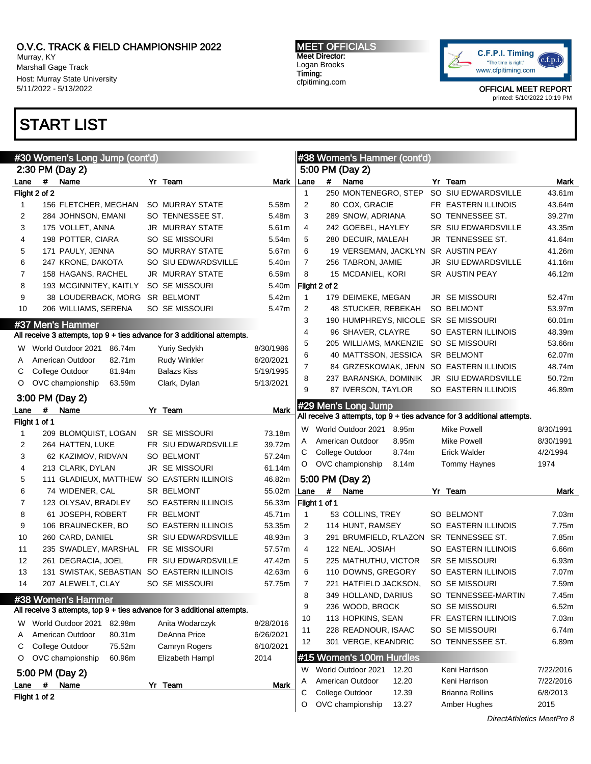Murray, KY Marshall Gage Track Host: Murray State University 5/11/2022 - 5/13/2022

# START LIST

MEET OFFICIALS Meet Director: Logan Brooks Timing: cfpitiming.com



|              |               | #30 Women's Long Jump (cont'd) |                                                                         |           |                |               | #38 Women's Hammer (cont'd)          |       |                                                                         |           |
|--------------|---------------|--------------------------------|-------------------------------------------------------------------------|-----------|----------------|---------------|--------------------------------------|-------|-------------------------------------------------------------------------|-----------|
|              |               | 2:30 PM (Day 2)                |                                                                         |           |                |               | 5:00 PM (Day 2)                      |       |                                                                         |           |
| Lane         | $\#$          | Name                           | Yr Team                                                                 | Mark      | Lane           | #             | Name                                 |       | Yr Team                                                                 | Mark      |
|              | Flight 2 of 2 |                                |                                                                         |           | $\mathbf{1}$   |               | 250 MONTENEGRO, STEP                 |       | SO SIU EDWARDSVILLE                                                     | 43.61m    |
| $\mathbf{1}$ |               | 156 FLETCHER, MEGHAN           | <b>SO MURRAY STATE</b>                                                  | 5.58m     | 2              |               | 80 COX, GRACIE                       |       | FR EASTERN ILLINOIS                                                     | 43.64m    |
| 2            |               | 284 JOHNSON, EMANI             | SO TENNESSEE ST.                                                        | 5.48m     | 3              |               | 289 SNOW, ADRIANA                    |       | SO TENNESSEE ST.                                                        | 39.27m    |
| 3            |               | 175 VOLLET, ANNA               | <b>JR MURRAY STATE</b>                                                  | 5.61m     | 4              |               | 242 GOEBEL, HAYLEY                   |       | SR SIU EDWARDSVILLE                                                     | 43.35m    |
| 4            |               | 198 POTTER, CIARA              | SO SE MISSOURI                                                          | 5.54m     | 5              |               | 280 DECUIR, MALEAH                   |       | JR TENNESSEE ST.                                                        | 41.64m    |
| 5            |               | 171 PAULY, JENNA               | <b>SO MURRAY STATE</b>                                                  | 5.67m     | 6              |               | 19 VERSEMAN, JACKLYN SR AUSTIN PEAY  |       |                                                                         | 41.26m    |
| 6            |               | 247 KRONE, DAKOTA              | SO SIU EDWARDSVILLE                                                     | 5.40m     | $\overline{7}$ |               | 256 TABRON, JAMIE                    |       | JR SIU EDWARDSVILLE                                                     | 41.16m    |
| 7            |               | 158 HAGANS, RACHEL             | <b>JR MURRAY STATE</b>                                                  | 6.59m     | 8              |               | 15 MCDANIEL, KORI                    |       | SR AUSTIN PEAY                                                          | 46.12m    |
| 8            |               | 193 MCGINNITEY, KAITLY         | SO SE MISSOURI                                                          | 5.40m     |                | Flight 2 of 2 |                                      |       |                                                                         |           |
| 9            |               | 38 LOUDERBACK, MORG            | <b>SR BELMONT</b>                                                       | 5.42m     | $\mathbf{1}$   |               | 179 DEIMEKE, MEGAN                   |       | <b>JR SE MISSOURI</b>                                                   | 52.47m    |
| 10           |               | 206 WILLIAMS, SERENA           | SO SE MISSOURI                                                          | 5.47m     | 2              |               | 48 STUCKER, REBEKAH                  |       | <b>SO BELMONT</b>                                                       | 53.97m    |
|              |               |                                |                                                                         |           | 3              |               | 190 HUMPHREYS, NICOLE SR SE MISSOURI |       |                                                                         | 60.01m    |
|              |               | #37 Men's Hammer               | All receive 3 attempts, top 9 + ties advance for 3 additional attempts. |           | 4              |               | 96 SHAVER, CLAYRE                    |       | SO EASTERN ILLINOIS                                                     | 48.39m    |
|              |               |                                |                                                                         |           | 5              |               | 205 WILLIAMS, MAKENZIE               |       | SO SE MISSOURI                                                          | 53.66m    |
| w            |               | World Outdoor 2021 86.74m      | Yuriy Sedykh                                                            | 8/30/1986 | 6              |               | 40 MATTSSON, JESSICA                 |       | SR BELMONT                                                              | 62.07m    |
| A            |               | American Outdoor<br>82.71m     | <b>Rudy Winkler</b>                                                     | 6/20/2021 | 7              |               |                                      |       | 84 GRZESKOWIAK, JENN SO EASTERN ILLINOIS                                | 48.74m    |
| С            |               | College Outdoor<br>81.94m      | <b>Balazs Kiss</b>                                                      | 5/19/1995 | 8              |               | 237 BARANSKA, DOMINIK                |       | JR SIU EDWARDSVILLE                                                     | 50.72m    |
| O            |               | OVC championship<br>63.59m     | Clark, Dylan                                                            | 5/13/2021 | 9              |               | 87 IVERSON, TAYLOR                   |       | SO EASTERN ILLINOIS                                                     | 46.89m    |
|              |               | 3:00 PM (Day 2)                |                                                                         |           |                |               |                                      |       |                                                                         |           |
| Lane         | #             | Name                           | Yr Team                                                                 | Mark      |                |               | #29 Men's Long Jump                  |       | All receive 3 attempts, top 9 + ties advance for 3 additional attempts. |           |
|              | Flight 1 of 1 |                                |                                                                         |           |                |               |                                      |       |                                                                         |           |
| 1            |               | 209 BLOMQUIST, LOGAN           | <b>SR SE MISSOURI</b>                                                   | 73.18m    | W              |               | World Outdoor 2021                   | 8.95m | <b>Mike Powell</b>                                                      | 8/30/1991 |
| 2            |               | 264 HATTEN, LUKE               | FR SIU EDWARDSVILLE                                                     | 39.72m    | A              |               | American Outdoor                     | 8.95m | <b>Mike Powell</b>                                                      | 8/30/1991 |
| 3            |               | 62 KAZIMOV, RIDVAN             | <b>SO BELMONT</b>                                                       | 57.24m    | С              |               | College Outdoor                      | 8.74m | <b>Erick Walder</b>                                                     | 4/2/1994  |
| 4            |               | 213 CLARK, DYLAN               | <b>JR SE MISSOURI</b>                                                   | 61.14m    | O              |               | OVC championship                     | 8.14m | Tommy Haynes                                                            | 1974      |
| 5            |               | 111 GLADIEUX, MATTHEW          | SO EASTERN ILLINOIS                                                     | 46.82m    |                |               | 5:00 PM (Day 2)                      |       |                                                                         |           |
| 6            |               | 74 WIDENER, CAL                | SR BELMONT                                                              | 55.02m    | Lane           | #             | Name                                 |       | Yr Team                                                                 | Mark      |
| 7            |               | 123 OLYSAV, BRADLEY            | SO EASTERN ILLINOIS                                                     | 56.33m    |                | Flight 1 of 1 |                                      |       |                                                                         |           |
| 8            |               | 61 JOSEPH, ROBERT              | FR BELMONT                                                              | 45.71m    | $\mathbf{1}$   |               | 53 COLLINS, TREY                     |       | SO BELMONT                                                              | 7.03m     |
| 9            |               | 106 BRAUNECKER, BO             | SO EASTERN ILLINOIS                                                     | 53.35m    | 2              |               | 114 HUNT, RAMSEY                     |       | SO EASTERN ILLINOIS                                                     | 7.75m     |
| 10           |               | 260 CARD, DANIEL               | <b>SR SIU EDWARDSVILLE</b>                                              | 48.93m    | 3              |               |                                      |       | 291 BRUMFIELD, R'LAZON SR TENNESSEE ST.                                 | 7.85m     |
| 11           |               | 235 SWADLEY, MARSHAL           | FR SE MISSOURI                                                          | 57.57m    | 4              |               | 122 NEAL, JOSIAH                     |       | SO EASTERN ILLINOIS                                                     | 6.66m     |
| 12           |               | 261 DEGRACIA, JOEL             | FR SIU EDWARDSVILLE                                                     | 47.42m    | 5              |               | 225 MATHUTHU, VICTOR                 |       | SR SE MISSOURI                                                          | 6.93m     |
| 13           |               | 131 SWISTAK, SEBASTIAN         | SO EASTERN ILLINOIS                                                     | 42.63m    | 6              |               | 110 DOWNS, GREGORY                   |       | SO EASTERN ILLINOIS                                                     | 7.07m     |
| 14           |               | 207 ALEWELT, CLAY              | SO SE MISSOURI                                                          | 57.75m    | 7              |               | 221 HATFIELD JACKSON,                |       | SO SE MISSOURI                                                          | 7.59m     |
|              |               | #38 Women's Hammer             |                                                                         |           | 8              |               | 349 HOLLAND, DARIUS                  |       | SO TENNESSEE-MARTIN                                                     | 7.45m     |
|              |               |                                | All receive 3 attempts, top 9 + ties advance for 3 additional attempts. |           | 9              |               | 236 WOOD, BROCK                      |       | SO SE MISSOURI                                                          | 6.52m     |
|              |               |                                |                                                                         |           | 10             |               | 113 HOPKINS, SEAN                    |       | FR EASTERN ILLINOIS                                                     | 7.03m     |
| W            |               | World Outdoor 2021<br>82.98m   | Anita Wodarczyk                                                         | 8/28/2016 | 11             |               | 228 READNOUR, ISAAC                  |       | SO SE MISSOURI                                                          | 6.74m     |
| Α            |               | American Outdoor<br>80.31m     | DeAnna Price                                                            | 6/26/2021 | 12             |               | 301 VERGE, KEANDRIC                  |       | SO TENNESSEE ST.                                                        | 6.89m     |
| С            |               | College Outdoor<br>75.52m      | Camryn Rogers                                                           | 6/10/2021 |                |               |                                      |       |                                                                         |           |
| O            |               | OVC championship<br>60.96m     | Elizabeth Hampl                                                         | 2014      |                |               | #15 Women's 100m Hurdles             |       |                                                                         |           |
|              |               | 5:00 PM (Day 2)                |                                                                         |           | W              |               | World Outdoor 2021                   | 12.20 | Keni Harrison                                                           | 7/22/2016 |
| Lane         | #             | Name                           | Yr Team                                                                 | Mark      | A              |               | American Outdoor<br>College Outdoor  | 12.20 | Keni Harrison<br><b>Brianna Rollins</b>                                 | 7/22/2016 |
|              | Flight 1 of 2 |                                |                                                                         |           | С              |               |                                      | 12.39 |                                                                         | 6/8/2013  |
|              |               |                                |                                                                         |           | O              |               | OVC championship                     | 13.27 | Amber Hughes                                                            | 2015      |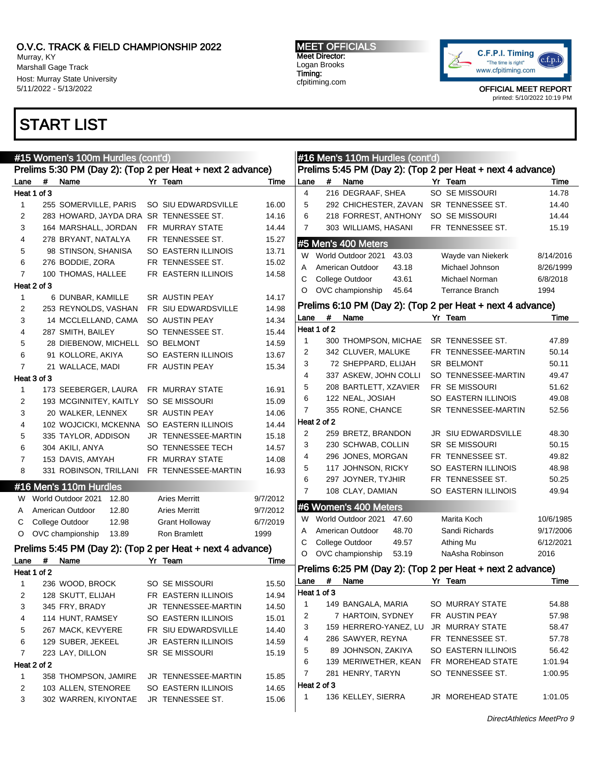#15 Women's 100m Hurdles (cont'd)

Murray, KY Marshall Gage Track Host: Murray State University 5/11/2022 - 5/13/2022

## START LIST

MEET OFFICIALS Meet Director: Logan Brooks Timing: cfpitiming.com

#16 Men's 110m Hurdles (cont'd)



|                | <b>#15 WOMEN'S TUUM HURGIES (CONTA</b><br>Prelims 5:30 PM (Day 2): (Top 2 per Heat + next 2 advance) |                                                            |  |                       |          |                |             | #16 Men's T10m Flurales (cont'd |       | Prelims 5:45 PM (Day 2): (Top 2 per Heat + next 4 advance) |           |
|----------------|------------------------------------------------------------------------------------------------------|------------------------------------------------------------|--|-----------------------|----------|----------------|-------------|---------------------------------|-------|------------------------------------------------------------|-----------|
| Lane           | #                                                                                                    | Name                                                       |  | Yr Team               | Time     | Lane           | #           | Name                            |       | Yr Team                                                    | Time      |
|                | Heat 1 of 3                                                                                          |                                                            |  |                       |          | $\overline{4}$ |             | 216 DEGRAAF, SHEA               |       | SO SE MISSOURI                                             | 14.78     |
| $\mathbf{1}$   |                                                                                                      | 255 SOMERVILLE, PARIS                                      |  | SO SIU EDWARDSVILLE   | 16.00    | 5              |             | 292 CHICHESTER, ZAVAN           |       | SR TENNESSEE ST.                                           | 14.40     |
| 2              |                                                                                                      | 283 HOWARD, JAYDA DRA                                      |  | SR TENNESSEE ST.      | 14.16    | 6              |             | 218 FORREST, ANTHONY            |       | SO SE MISSOURI                                             | 14.44     |
| 3              |                                                                                                      | 164 MARSHALL, JORDAN                                       |  | FR MURRAY STATE       | 14.44    | 7              |             | 303 WILLIAMS, HASANI            |       | FR TENNESSEE ST.                                           | 15.19     |
| 4              |                                                                                                      | 278 BRYANT, NATALYA                                        |  | FR TENNESSEE ST.      | 15.27    |                |             |                                 |       |                                                            |           |
| 5              |                                                                                                      | 98 STINSON, SHANISA                                        |  | SO EASTERN ILLINOIS   | 13.71    |                |             | #5 Men's 400 Meters             |       |                                                            |           |
| 6              |                                                                                                      | 276 BODDIE, ZORA                                           |  | FR TENNESSEE ST.      | 15.02    | W              |             | World Outdoor 2021              | 43.03 | Wayde van Niekerk                                          | 8/14/2016 |
| $\overline{7}$ |                                                                                                      | 100 THOMAS, HALLEE                                         |  | FR EASTERN ILLINOIS   | 14.58    | Α              |             | American Outdoor                | 43.18 | Michael Johnson                                            | 8/26/1999 |
|                | Heat 2 of 3                                                                                          |                                                            |  |                       |          | С              |             | College Outdoor                 | 43.61 | Michael Norman                                             | 6/8/2018  |
| $\mathbf{1}$   |                                                                                                      | 6 DUNBAR, KAMILLE                                          |  | <b>SR AUSTIN PEAY</b> | 14.17    | O              |             | OVC championship                | 45.64 | <b>Terrance Branch</b>                                     | 1994      |
| 2              |                                                                                                      | 253 REYNOLDS, VASHAN                                       |  | FR SIU EDWARDSVILLE   | 14.98    |                |             |                                 |       | Prelims 6:10 PM (Day 2): (Top 2 per Heat + next 4 advance) |           |
| 3              |                                                                                                      | 14 MCCLELLAND, CAMA                                        |  | SO AUSTIN PEAY        | 14.34    | Lane           | $\#$        | Name                            |       | Yr Team                                                    | Time      |
| 4              |                                                                                                      | 287 SMITH, BAILEY                                          |  | SO TENNESSEE ST.      | 15.44    |                | Heat 1 of 2 |                                 |       |                                                            |           |
| 5              |                                                                                                      | 28 DIEBENOW, MICHELL                                       |  | SO BELMONT            | 14.59    | $\mathbf{1}$   |             | 300 THOMPSON, MICHAE            |       | SR TENNESSEE ST.                                           | 47.89     |
| 6              |                                                                                                      | 91 KOLLORE, AKIYA                                          |  | SO EASTERN ILLINOIS   | 13.67    | 2              |             | 342 CLUVER, MALUKE              |       | FR TENNESSEE-MARTIN                                        | 50.14     |
| $\overline{7}$ |                                                                                                      | 21 WALLACE, MADI                                           |  | FR AUSTIN PEAY        | 15.34    | 3              |             | 72 SHEPPARD, ELIJAH             |       | SR BELMONT                                                 | 50.11     |
|                | Heat 3 of 3                                                                                          |                                                            |  |                       |          | 4              |             | 337 ASKEW, JOHN COLLI           |       | SO TENNESSEE-MARTIN                                        | 49.47     |
| $\mathbf{1}$   |                                                                                                      | 173 SEEBERGER, LAURA                                       |  | FR MURRAY STATE       | 16.91    | 5              |             | 208 BARTLETT, XZAVIER           |       | FR SE MISSOURI                                             | 51.62     |
| 2              |                                                                                                      | 193 MCGINNITEY, KAITLY                                     |  | SO SE MISSOURI        | 15.09    | 6              |             | 122 NEAL, JOSIAH                |       | SO EASTERN ILLINOIS                                        | 49.08     |
| 3              |                                                                                                      | 20 WALKER, LENNEX                                          |  | SR AUSTIN PEAY        | 14.06    | 7              |             | 355 RONE, CHANCE                |       | SR TENNESSEE-MARTIN                                        | 52.56     |
| 4              |                                                                                                      | 102 WOJCICKI, MCKENNA                                      |  | SO EASTERN ILLINOIS   | 14.44    |                | Heat 2 of 2 |                                 |       |                                                            |           |
| 5              |                                                                                                      | 335 TAYLOR, ADDISON                                        |  | JR TENNESSEE-MARTIN   | 15.18    | 2              |             | 259 BRETZ, BRANDON              |       | JR SIU EDWARDSVILLE                                        | 48.30     |
| 6              |                                                                                                      | 304 AKILI, ANYA                                            |  | SO TENNESSEE TECH     | 14.57    | 3              |             | 230 SCHWAB, COLLIN              |       | SR SE MISSOURI                                             | 50.15     |
| 7              |                                                                                                      | 153 DAVIS, AMYAH                                           |  | FR MURRAY STATE       | 14.08    | 4              |             | 296 JONES, MORGAN               |       | FR TENNESSEE ST.                                           | 49.82     |
| 8              |                                                                                                      | 331 ROBINSON, TRILLANI                                     |  | FR TENNESSEE-MARTIN   | 16.93    | 5              |             | 117 JOHNSON, RICKY              |       | SO EASTERN ILLINOIS                                        | 48.98     |
|                |                                                                                                      | #16 Men's 110m Hurdles                                     |  |                       |          | 6              |             | 297 JOYNER, TYJHIR              |       | FR TENNESSEE ST.                                           | 50.25     |
| W              |                                                                                                      | World Outdoor 2021<br>12.80                                |  | <b>Aries Merritt</b>  | 9/7/2012 | 7              |             | 108 CLAY, DAMIAN                |       | SO EASTERN ILLINOIS                                        | 49.94     |
| A              |                                                                                                      | American Outdoor<br>12.80                                  |  | <b>Aries Merritt</b>  | 9/7/2012 |                |             | #6 Women's 400 Meters           |       |                                                            |           |
| С              |                                                                                                      | College Outdoor<br>12.98                                   |  | Grant Holloway        | 6/7/2019 |                |             | W World Outdoor 2021            | 47.60 | Marita Koch                                                | 10/6/1985 |
| $\circ$        |                                                                                                      | OVC championship<br>13.89                                  |  | Ron Bramlett          | 1999     | A              |             | American Outdoor                | 48.70 | Sandi Richards                                             | 9/17/2006 |
|                |                                                                                                      | Prelims 5:45 PM (Day 2): (Top 2 per Heat + next 4 advance) |  |                       |          | С              |             | College Outdoor                 | 49.57 | Athing Mu                                                  | 6/12/2021 |
| Lane           | #                                                                                                    | Name                                                       |  | Yr Team               | Time     | O              |             | OVC championship                | 53.19 | NaAsha Robinson                                            | 2016      |
|                | Heat 1 of 2                                                                                          |                                                            |  |                       |          |                |             |                                 |       | Prelims 6:25 PM (Day 2): (Top 2 per Heat + next 2 advance) |           |
| $\mathbf{1}$   |                                                                                                      | 236 WOOD, BROCK                                            |  | SO SE MISSOURI        | 15.50    | Lane           | #           | Name                            |       | Yr Team                                                    | Time      |
| 2              |                                                                                                      | 128 SKUTT, ELIJAH                                          |  | FR EASTERN ILLINOIS   | 14.94    |                | Heat 1 of 3 |                                 |       |                                                            |           |
| 3              |                                                                                                      | 345 FRY, BRADY                                             |  | JR TENNESSEE-MARTIN   | 14.50    | 1              |             | 149 BANGALA, MARIA              |       | SO MURRAY STATE                                            | 54.88     |
| 4              |                                                                                                      | 114 HUNT, RAMSEY                                           |  | SO EASTERN ILLINOIS   | 15.01    | 2              |             | 7 HARTOIN, SYDNEY               |       | FR AUSTIN PEAY                                             | 57.98     |
| 5              |                                                                                                      | 267 MACK, KEVYERE                                          |  | FR SIU EDWARDSVILLE   | 14.40    | 3              |             | 159 HERRERO-YANEZ, LU           |       | <b>JR MURRAY STATE</b>                                     | 58.47     |
| 6              |                                                                                                      | 129 SUBER, JEKEEL                                          |  | JR EASTERN ILLINOIS   | 14.59    | 4              |             | 286 SAWYER, REYNA               |       | FR TENNESSEE ST.                                           | 57.78     |
| 7              |                                                                                                      | 223 LAY, DILLON                                            |  | SR SE MISSOURI        | 15.19    | 5              |             | 89 JOHNSON, ZAKIYA              |       | SO EASTERN ILLINOIS                                        | 56.42     |
|                | Heat 2 of 2                                                                                          |                                                            |  |                       |          | 6              |             | 139 MERIWETHER, KEAN            |       | FR MOREHEAD STATE                                          | 1:01.94   |
| 1              |                                                                                                      | 358 THOMPSON, JAMIRE                                       |  | JR TENNESSEE-MARTIN   | 15.85    | 7              |             | 281 HENRY, TARYN                |       | SO TENNESSEE ST.                                           | 1:00.95   |
| 2              |                                                                                                      | 103 ALLEN, STENOREE                                        |  | SO EASTERN ILLINOIS   | 14.65    |                | Heat 2 of 3 |                                 |       |                                                            |           |
| 3              |                                                                                                      | 302 WARREN, KIYONTAE                                       |  | JR TENNESSEE ST.      | 15.06    | 1              |             | 136 KELLEY, SIERRA              |       | JR MOREHEAD STATE                                          | 1:01.05   |
|                |                                                                                                      |                                                            |  |                       |          |                |             |                                 |       |                                                            |           |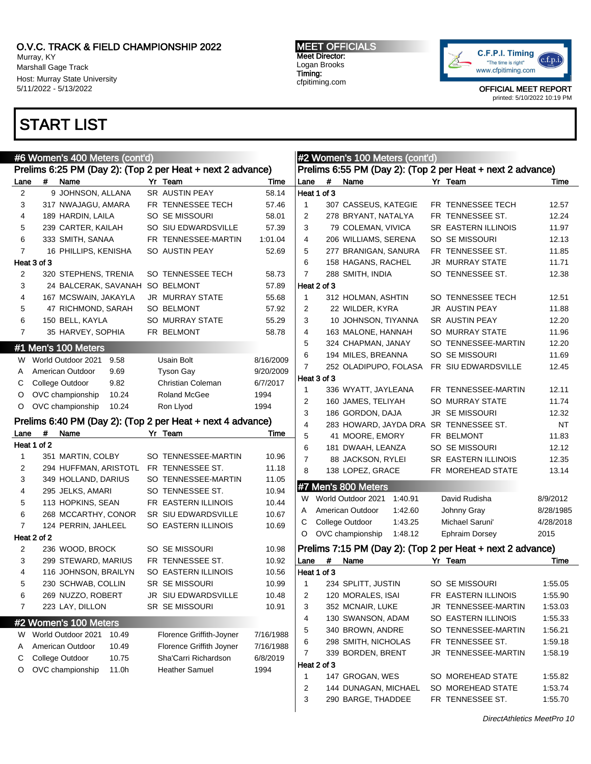Murray, KY Marshall Gage Track Host: Murray State University 5/11/2022 - 5/13/2022

## START LIST

MEET OFFICIALS Meet Director: Logan Brooks Timing: cfpitiming.com



|                |             | #6 Women's 400 Meters (cont'd)             |       |                                                            |           |                |             | #2 Women's 100 Meters (cont'd)          |         |                                                            |                    |
|----------------|-------------|--------------------------------------------|-------|------------------------------------------------------------|-----------|----------------|-------------|-----------------------------------------|---------|------------------------------------------------------------|--------------------|
|                |             |                                            |       | Prelims 6:25 PM (Day 2): (Top 2 per Heat + next 2 advance) |           |                |             |                                         |         | Prelims 6:55 PM (Day 2): (Top 2 per Heat + next 2 advance) |                    |
| Lane           | #           | Name                                       |       | Yr Team                                                    | Time      | Lane           | #           | Name                                    |         | Yr Team                                                    | Time               |
| $\overline{2}$ |             | 9 JOHNSON, ALLANA                          |       | SR AUSTIN PEAY                                             | 58.14     |                | Heat 1 of 3 |                                         |         |                                                            |                    |
| 3              |             | 317 NWAJAGU, AMARA                         |       | FR TENNESSEE TECH                                          | 57.46     | $\mathbf{1}$   |             | 307 CASSEUS, KATEGIE                    |         | FR TENNESSEE TECH                                          | 12.57              |
| 4              |             | 189 HARDIN, LAILA                          |       | SO SE MISSOURI                                             | 58.01     | $\overline{2}$ |             | 278 BRYANT, NATALYA                     |         | FR TENNESSEE ST.                                           | 12.24              |
| 5              |             | 239 CARTER, KAILAH                         |       | SO SIU EDWARDSVILLE                                        | 57.39     | 3              |             | 79 COLEMAN, VIVICA                      |         | SR EASTERN ILLINOIS                                        | 11.97              |
| 6              |             | 333 SMITH, SANAA                           |       | FR TENNESSEE-MARTIN                                        | 1:01.04   | 4              |             | 206 WILLIAMS, SERENA                    |         | SO SE MISSOURI                                             | 12.13              |
| $\overline{7}$ |             | 16 PHILLIPS, KENISHA                       |       | SO AUSTIN PEAY                                             | 52.69     | 5              |             | 277 BRANIGAN, SANURA                    |         | FR TENNESSEE ST.                                           | 11.85              |
|                | Heat 3 of 3 |                                            |       |                                                            |           | 6              |             | 158 HAGANS, RACHEL                      |         | JR MURRAY STATE                                            | 11.71              |
| 2              |             | 320 STEPHENS, TRENIA                       |       | SO TENNESSEE TECH                                          | 58.73     | $\overline{7}$ |             | 288 SMITH, INDIA                        |         | SO TENNESSEE ST.                                           | 12.38              |
| 3              |             | 24 BALCERAK, SAVANAH                       |       | SO BELMONT                                                 | 57.89     |                | Heat 2 of 3 |                                         |         |                                                            |                    |
| 4              |             | 167 MCSWAIN, JAKAYLA                       |       | <b>JR MURRAY STATE</b>                                     | 55.68     | $\mathbf{1}$   |             | 312 HOLMAN, ASHTIN                      |         | SO TENNESSEE TECH                                          | 12.51              |
| 5              |             | 47 RICHMOND, SARAH                         |       | <b>SO BELMONT</b>                                          | 57.92     | 2              |             | 22 WILDER, KYRA                         |         | JR AUSTIN PEAY                                             | 11.88              |
| 6              |             | 150 BELL, KAYLA                            |       | SO MURRAY STATE                                            | 55.29     | 3              |             | 10 JOHNSON, TIYANNA                     |         | SR AUSTIN PEAY                                             | 12.20              |
| $\overline{7}$ |             | 35 HARVEY, SOPHIA                          |       | FR BELMONT                                                 | 58.78     | 4              |             | 163 MALONE, HANNAH                      |         | SO MURRAY STATE                                            | 11.96              |
|                |             | #1 Men's 100 Meters                        |       |                                                            |           | 5              |             | 324 CHAPMAN, JANAY                      |         | SO TENNESSEE-MARTIN                                        | 12.20              |
| W.             |             | World Outdoor 2021                         | 9.58  | Usain Bolt                                                 | 8/16/2009 | 6              |             | 194 MILES, BREANNA                      |         | SO SE MISSOURI                                             | 11.69              |
| A              |             | American Outdoor                           | 9.69  | <b>Tyson Gay</b>                                           | 9/20/2009 | $\overline{7}$ |             | 252 OLADIPUPO, FOLASA                   |         | FR SIU EDWARDSVILLE                                        | 12.45              |
| С              |             | College Outdoor                            | 9.82  | Christian Coleman                                          | 6/7/2017  |                | Heat 3 of 3 |                                         |         |                                                            |                    |
| O              |             | OVC championship                           | 10.24 | <b>Roland McGee</b>                                        | 1994      | 1              |             | 336 WYATT, JAYLEANA                     |         | FR TENNESSEE-MARTIN                                        | 12.11              |
| O              |             | OVC championship                           | 10.24 | Ron Llyod                                                  | 1994      | 2              |             | 160 JAMES, TELIYAH                      |         | <b>SO MURRAY STATE</b>                                     | 11.74              |
|                |             |                                            |       |                                                            |           | 3              |             | 186 GORDON, DAJA                        |         | JR SE MISSOURI                                             | 12.32              |
|                |             |                                            |       | Prelims 6:40 PM (Day 2): (Top 2 per Heat + next 4 advance) |           | $\overline{4}$ |             |                                         |         | 283 HOWARD, JAYDA DRA SR TENNESSEE ST.                     | <b>NT</b>          |
| Lane           | #           | Name                                       |       | Yr Team                                                    | Time      | 5              |             | 41 MOORE, EMORY                         |         | FR BELMONT                                                 | 11.83              |
|                | Heat 1 of 2 |                                            |       |                                                            |           | 6              |             | 181 DWAAH, LEANZA                       |         | SO SE MISSOURI                                             | 12.12              |
| 1              |             | 351 MARTIN, COLBY                          |       | SO TENNESSEE-MARTIN                                        | 10.96     | $\overline{7}$ |             | 88 JACKSON, RYLEI                       |         | SR EASTERN ILLINOIS                                        | 12.35              |
| 2              |             | 294 HUFFMAN, ARISTOTL                      |       | FR TENNESSEE ST.                                           | 11.18     | 8              |             | 138 LOPEZ, GRACE                        |         | FR MOREHEAD STATE                                          | 13.14              |
| 3              |             | 349 HOLLAND, DARIUS                        |       | SO TENNESSEE-MARTIN                                        | 11.05     |                |             | #7 Men's 800 Meters                     |         |                                                            |                    |
| 4              |             | 295 JELKS, AMARI                           |       | SO TENNESSEE ST.                                           | 10.94     | W              |             | World Outdoor 2021                      | 1:40.91 | David Rudisha                                              | 8/9/2012           |
| 5<br>6         |             | 113 HOPKINS, SEAN                          |       | FR EASTERN ILLINOIS                                        | 10.44     | A              |             | American Outdoor                        | 1:42.60 | Johnny Gray                                                | 8/28/1985          |
| $\overline{7}$ |             | 268 MCCARTHY, CONOR<br>124 PERRIN, JAHLEEL |       | SR SIU EDWARDSVILLE<br>SO EASTERN ILLINOIS                 | 10.67     | С              |             | College Outdoor                         | 1:43.25 | Michael Saruni'                                            | 4/28/2018          |
|                | Heat 2 of 2 |                                            |       |                                                            | 10.69     | O              |             | OVC championship                        | 1:48.12 | Ephraim Dorsey                                             | 2015               |
| 2              |             | 236 WOOD, BROCK                            |       | SO SE MISSOURI                                             | 10.98     |                |             |                                         |         | Prelims 7:15 PM (Day 2): (Top 2 per Heat + next 2 advance) |                    |
| 3              |             | 299 STEWARD, MARIUS                        |       | FR TENNESSEE ST.                                           | 10.92     | Lane           | #           | Name                                    |         | Yr Team                                                    | Time               |
| 4              |             | 116 JOHNSON, BRAILYN                       |       | <b>SO EASTERN ILLINOIS</b>                                 | 10.56     |                | Heat 1 of 3 |                                         |         |                                                            |                    |
| 5              |             | 230 SCHWAB, COLLIN                         |       | SR SE MISSOURI                                             | 10.99     | -1             |             |                                         |         |                                                            |                    |
| 6              |             | 269 NUZZO, ROBERT                          |       | JR SIU EDWARDSVILLE                                        | 10.48     | 2              |             | 234 SPLITT, JUSTIN<br>120 MORALES, ISAI |         | SO SE MISSOURI<br>FR EASTERN ILLINOIS                      | 1:55.05<br>1:55.90 |
| 7              |             | 223 LAY, DILLON                            |       | SR SE MISSOURI                                             | 10.91     | 3              |             | 352 MCNAIR, LUKE                        |         | JR TENNESSEE-MARTIN                                        | 1:53.03            |
|                |             |                                            |       |                                                            |           | 4              |             | 130 SWANSON, ADAM                       |         | SO EASTERN ILLINOIS                                        | 1:55.33            |
|                |             | #2 Women's 100 Meters                      |       |                                                            |           |                |             | 340 BROWN, ANDRE                        |         | SO TENNESSEE-MARTIN                                        | 1:56.21            |
| W              |             | World Outdoor 2021                         | 10.49 | Florence Griffith-Joyner                                   | 7/16/1988 | 5              |             |                                         |         |                                                            |                    |
| Α              |             | American Outdoor                           | 10.49 | Florence Griffith Joyner                                   | 7/16/1988 | 6              |             | 298 SMITH, NICHOLAS                     |         | FR TENNESSEE ST.                                           | 1:59.18            |
| С              |             | College Outdoor                            | 10.75 | Sha'Carri Richardson                                       | 6/8/2019  | 7              |             | 339 BORDEN, BRENT                       |         | JR TENNESSEE-MARTIN                                        | 1:58.19            |
| O              |             | OVC championship                           | 11.0h | <b>Heather Samuel</b>                                      | 1994      |                | Heat 2 of 3 |                                         |         | SO MOREHEAD STATE                                          |                    |
|                |             |                                            |       |                                                            |           | 1              |             | 147 GROGAN, WES                         |         |                                                            | 1:55.82            |
|                |             |                                            |       |                                                            |           | 2<br>3         |             | 144 DUNAGAN, MICHAEL                    |         | SO MOREHEAD STATE<br>FR TENNESSEE ST.                      | 1:53.74            |
|                |             |                                            |       |                                                            |           |                |             | 290 BARGE, THADDEE                      |         |                                                            | 1:55.70            |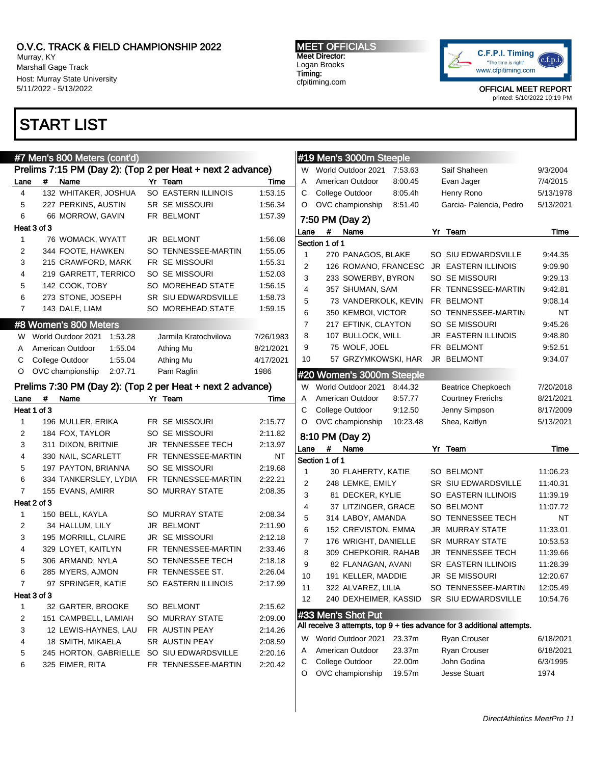Murray, KY Marshall Gage Track Host: Murray State University 5/11/2022 - 5/13/2022

### START LIST

#### #7 Men's 800 Meters (cont'd) Prelims 7:15 PM (Day 2): (Top 2 per Heat + next 2 advance) Lane # Name Yr Team Time 4 132 WHITAKER, JOSHUA SO EASTERN ILLINOIS 1:53.15 5 227 PERKINS, AUSTIN SR SE MISSOURI 1:56.34 6 66 MORROW, GAVIN FR BELMONT 1:57.39 Heat 3 of 3 1 76 WOMACK, WYATT JR BELMONT 1:56.08 2 344 FOOTE, HAWKEN SO TENNESSEE-MARTIN 1:55.05 3 215 CRAWFORD, MARK FR SE MISSOURI 1:55.31 4 219 GARRETT, TERRICO SO SE MISSOURI 1:52.03 5 142 COOK, TOBY SO MOREHEAD STATE 1:56.15 6 273 STONE, JOSEPH SR SIU EDWARDSVILLE 1:58.73 7 143 DALE, LIAM SO MOREHEAD STATE 1:59.15 #8 Women's 800 Meters W World Outdoor 2021 1:53.28 Jarmila Kratochvilova 7/26/1983 A American Outdoor 1:55.04 Athing Mu 8/21/2021 C College Outdoor 1:55.04 Athing Mu 4/17/2021 O OVC championship 2:07.71 Pam Raglin 1986 Prelims 7:30 PM (Day 2): (Top 2 per Heat + next 2 advance) Lane # Name Yr Team Time Heat 1 of 3 1 196 MULLER, ERIKA FR SE MISSOURI 2:15.77 2 184 FOX, TAYLOR SO SE MISSOURI 2:11.82 3 311 DIXON, BRITNIE JR TENNESSEE TECH 2:13.97 4 330 NAIL, SCARLETT FR TENNESSEE-MARTIN NT 5 197 PAYTON, BRIANNA SO SE MISSOURI 2:19.68 6 334 TANKERSLEY, LYDIA FR TENNESSEE-MARTIN 2:22.21 7 155 EVANS, AMIRR SO MURRAY STATE 2:08.35

Heat 2 of 3 1 150 BELL, KAYLA SO MURRAY STATE 2:08.34 2 34 HALLUM, LILY JR BELMONT 2:11.90 3 195 MORRILL, CLAIRE JR SE MISSOURI 2:12.18 4 329 LOYET, KAITLYN FR TENNESSEE-MARTIN 2:33.46 5 306 ARMAND, NYLA SO TENNESSEE TECH 2:18.18 6 285 MYERS, AJMON FR TENNESSEE ST. 2:26.04 7 97 SPRINGER, KATIE SO EASTERN ILLINOIS 2:17.99 Heat 3 of 3 1 32 GARTER, BROOKE SO BELMONT 2:15.62 2 151 CAMPBELL, LAMIAH SO MURRAY STATE 2:09.00 3 12 LEWIS-HAYNES, LAU FR AUSTIN PEAY 2:14.26 4 18 SMITH, MIKAELA SR AUSTIN PEAY 2:08.59 5 245 HORTON, GABRIELLE SO SIU EDWARDSVILLE 2:20.16 6 325 EIMER, RITA FR TENNESSEE-MARTIN 2:20.42

#### MEET OFFICIALS Meet Director: Logan Brooks Timing: cfpitiming.com



OFFICIAL MEET REPORT

printed: 5/10/2022 10:19 PM

|        | #19 Men's 3000m Steeple             |                  |                                                                         |                  |
|--------|-------------------------------------|------------------|-------------------------------------------------------------------------|------------------|
| W      | World Outdoor 2021                  | 7:53.63          | Saif Shaheen                                                            | 9/3/2004         |
| A      | American Outdoor                    | 8:00.45          | Evan Jager                                                              | 7/4/2015         |
| С      | College Outdoor                     | 8:05.4h          | Henry Rono                                                              | 5/13/1978        |
| O      | OVC championship                    | 8:51.40          | Garcia- Palencia, Pedro                                                 | 5/13/2021        |
|        | 7:50 PM (Day 2)                     |                  |                                                                         |                  |
| Lane   | #<br>Name                           |                  | Yr Team                                                                 | Time             |
|        | Section 1 of 1                      |                  |                                                                         |                  |
| 1      | 270 PANAGOS, BLAKE                  |                  | SO SIU EDWARDSVILLE                                                     | 9:44.35          |
| 2      | 126 ROMANO, FRANCESC                |                  | <b>JR EASTERN ILLINOIS</b>                                              | 9:09.90          |
| 3      | 233 SOWERBY, BYRON                  |                  | SO SE MISSOURI                                                          | 9:29.13          |
| 4      | 357 SHUMAN, SAM                     |                  | FR.<br>TENNESSEE-MARTIN                                                 | 9:42.81          |
| 5      | 73 VANDERKOLK, KEVIN                |                  | FR BELMONT                                                              | 9:08.14          |
| 6      | 350 KEMBOI, VICTOR                  |                  | SO TENNESSEE-MARTIN                                                     | NΤ               |
| 7      | 217 EFTINK, CLAYTON                 |                  | SO SE MISSOURI                                                          | 9:45.26          |
| 8      | 107 BULLOCK, WILL                   |                  | JR EASTERN ILLINOIS                                                     | 9:48.80          |
| 9      | 75 WOLF, JOEL                       |                  | FR BELMONT                                                              | 9:52.51          |
| 10     | 57 GRZYMKOWSKI, HAR                 |                  | JR BELMONT                                                              | 9:34.07          |
|        | #20 Women's 3000m Steeple           |                  |                                                                         |                  |
| W      | World Outdoor 2021                  | 8:44.32          | <b>Beatrice Chepkoech</b>                                               | 7/20/2018        |
| A      | American Outdoor                    | 8:57.77          | <b>Courtney Frerichs</b>                                                | 8/21/2021        |
| С      | College Outdoor                     | 9:12.50          | Jenny Simpson                                                           | 8/17/2009        |
|        |                                     |                  |                                                                         |                  |
| O      | OVC championship                    | 10:23.48         | Shea, Kaitlyn                                                           | 5/13/2021        |
|        | 8:10 PM (Day 2)                     |                  |                                                                         |                  |
| Lane   | Name<br>#                           |                  | Yr<br>Team                                                              | Time             |
|        | Section 1 of 1                      |                  |                                                                         |                  |
| 1      | 30 FLAHERTY, KATIE                  |                  | <b>SO BELMONT</b>                                                       | 11:06.23         |
| 2      | 248 LEMKE, EMILY                    |                  | SR SIU EDWARDSVILLE                                                     | 11:40.31         |
| 3      | 81 DECKER, KYLIE                    |                  | SO EASTERN ILLINOIS                                                     | 11:39.19         |
| 4      | 37 LITZINGER, GRACE                 |                  | <b>SO BELMONT</b>                                                       | 11:07.72         |
| 5      | 314 LABOY, AMANDA                   |                  | SO TENNESSEE TECH                                                       | NΤ               |
| 6      | 152 CREVISTON, EMMA                 |                  | JR MURRAY STATE                                                         | 11:33.01         |
| 7      | 176 WRIGHT, DANIELLE                |                  | <b>SR MURRAY STATE</b>                                                  | 10:53.53         |
| 8      | 309 CHEPKORIR, RAHAB                |                  | JR TENNESSEE TECH                                                       | 11:39.66         |
| 9      | 82 FLANAGAN, AVANI                  |                  | SR EASTERN ILLINOIS                                                     | 11:28.39         |
| 10     | 191 KELLER, MADDIE                  |                  | JR SE MISSOURI                                                          | 12:20.67         |
| 11     | 322 ALVAREZ, LILIA                  |                  | SO TENNESSEE-MARTIN                                                     | 12:05.49         |
| 12     | 240 DEXHEIMER, KASSID               |                  | SR SIU EDWARDSVILLE                                                     | 10:54.76         |
|        | #33 Men's Shot Put                  |                  |                                                                         |                  |
|        |                                     |                  | All receive 3 attempts, top 9 + ties advance for 3 additional attempts. |                  |
| W      | World Outdoor 2021                  | 23.37m           | Ryan Crouser                                                            | 6/18/2021        |
| Α      | American Outdoor                    | 23.37m           | Ryan Crouser                                                            | 6/18/2021        |
| С<br>O | College Outdoor<br>OVC championship | 22.00m<br>19.57m | John Godina<br><b>Jesse Stuart</b>                                      | 6/3/1995<br>1974 |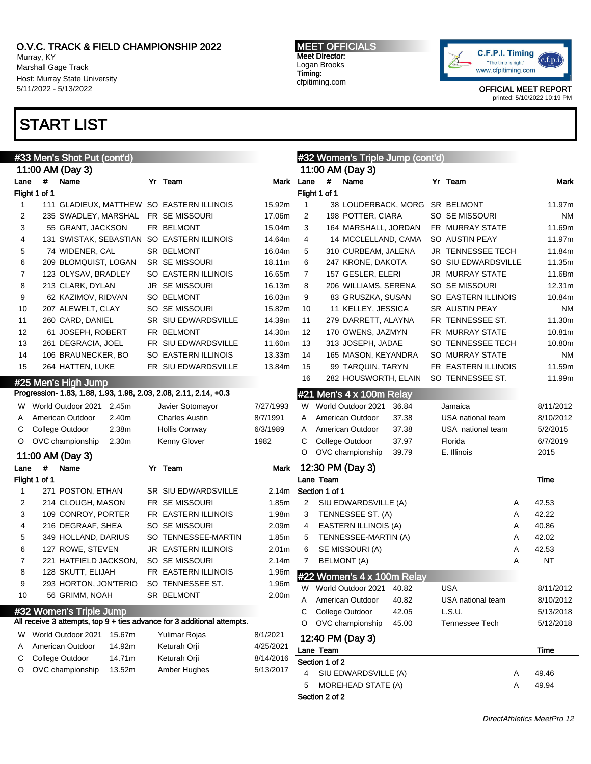Murray, KY Marshall Gage Track Host: Murray State University 5/11/2022 - 5/13/2022

# START LIST

MEET OFFICIALS Meet Director: Logan Brooks Timing: cfpitiming.com



| #33 Men's Shot Put (cont'd) |               |                                                                                          |  |                                                                         |                   | #32 Women's Triple Jump (cont'd) |                |                                |       |  |                     |   |           |
|-----------------------------|---------------|------------------------------------------------------------------------------------------|--|-------------------------------------------------------------------------|-------------------|----------------------------------|----------------|--------------------------------|-------|--|---------------------|---|-----------|
|                             |               | 11:00 AM (Day 3)                                                                         |  |                                                                         |                   |                                  |                | 11:00 AM (Day 3)               |       |  |                     |   |           |
| Lane                        | #             | Name                                                                                     |  | Yr Team                                                                 | Mark              | Lane                             | #              | Name                           |       |  | Yr Team             |   | Mark      |
|                             | Flight 1 of 1 |                                                                                          |  |                                                                         |                   |                                  | Flight 1 of 1  |                                |       |  |                     |   |           |
| 1                           |               | 111 GLADIEUX, MATTHEW SO EASTERN ILLINOIS                                                |  |                                                                         | 15.92m            | $\mathbf{1}$                     |                | 38 LOUDERBACK, MORG SR BELMONT |       |  |                     |   | 11.97m    |
| 2                           |               | 235 SWADLEY, MARSHAL                                                                     |  | FR SE MISSOURI                                                          | 17.06m            | 2                                |                | 198 POTTER, CIARA              |       |  | SO SE MISSOURI      |   | ΝM        |
| 3                           |               | 55 GRANT, JACKSON                                                                        |  | FR BELMONT                                                              | 15.04m            | 3                                |                | 164 MARSHALL, JORDAN           |       |  | FR MURRAY STATE     |   | 11.69m    |
| 4                           |               | 131 SWISTAK, SEBASTIAN SO EASTERN ILLINOIS                                               |  |                                                                         | 14.64m            | 4                                |                | 14 MCCLELLAND, CAMA            |       |  | SO AUSTIN PEAY      |   | 11.97m    |
| 5                           |               | 74 WIDENER, CAL                                                                          |  | SR BELMONT                                                              | 16.04m            | 5                                |                | 310 CURBEAM, JALENA            |       |  | JR TENNESSEE TECH   |   | 11.84m    |
| 6                           |               | 209 BLOMQUIST, LOGAN                                                                     |  | <b>SR SE MISSOURI</b>                                                   | 18.11m            | 6                                |                | 247 KRONE, DAKOTA              |       |  | SO SIU EDWARDSVILLE |   | 11.35m    |
| 7                           |               | 123 OLYSAV, BRADLEY                                                                      |  | SO EASTERN ILLINOIS                                                     | 16.65m            | 7                                |                | 157 GESLER, ELERI              |       |  | JR MURRAY STATE     |   | 11.68m    |
| 8                           |               | 213 CLARK, DYLAN                                                                         |  | <b>JR SE MISSOURI</b>                                                   | 16.13m            | 8                                |                | 206 WILLIAMS, SERENA           |       |  | SO SE MISSOURI      |   | 12.31m    |
| 9                           |               | 62 KAZIMOV, RIDVAN                                                                       |  | <b>SO BELMONT</b>                                                       | 16.03m            | 9                                |                | 83 GRUSZKA, SUSAN              |       |  | SO EASTERN ILLINOIS |   | 10.84m    |
| 10                          |               | 207 ALEWELT, CLAY                                                                        |  | SO SE MISSOURI                                                          | 15.82m            | 10                               |                | 11 KELLEY, JESSICA             |       |  | SR AUSTIN PEAY      |   | ΝM        |
| 11                          |               | 260 CARD, DANIEL                                                                         |  | SR SIU EDWARDSVILLE                                                     | 14.39m            | 11                               |                | 279 DARRETT, ALAYNA            |       |  | FR TENNESSEE ST.    |   | 11.30m    |
| 12                          |               | 61 JOSEPH, ROBERT                                                                        |  | FR BELMONT                                                              | 14.30m            | 12                               |                | 170 OWENS, JAZMYN              |       |  | FR MURRAY STATE     |   | 10.81m    |
| 13                          |               | 261 DEGRACIA, JOEL                                                                       |  | FR SIU EDWARDSVILLE                                                     | 11.60m            | 13                               |                | 313 JOSEPH, JADAE              |       |  | SO TENNESSEE TECH   |   | 10.80m    |
| 14                          |               | 106 BRAUNECKER, BO                                                                       |  | SO EASTERN ILLINOIS                                                     | 13.33m            | 14                               |                | 165 MASON, KEYANDRA            |       |  | SO MURRAY STATE     |   | ΝM        |
| 15                          |               | 264 HATTEN, LUKE                                                                         |  | FR SIU EDWARDSVILLE                                                     | 13.84m            | 15                               |                | 99 TARQUIN, TARYN              |       |  | FR EASTERN ILLINOIS |   | 11.59m    |
|                             |               |                                                                                          |  |                                                                         |                   | 16                               |                | 282 HOUSWORTH, ELAIN           |       |  | SO TENNESSEE ST.    |   | 11.99m    |
|                             |               | #25 Men's High Jump<br>Progression- 1.83, 1.88, 1.93, 1.98, 2.03, 2.08, 2.11, 2.14, +0.3 |  |                                                                         |                   |                                  |                |                                |       |  |                     |   |           |
|                             |               |                                                                                          |  |                                                                         |                   |                                  |                | #21 Men's 4 x 100m Relay       |       |  |                     |   |           |
| W                           |               | World Outdoor 2021 2.45m                                                                 |  | Javier Sotomayor                                                        | 7/27/1993         | W                                |                | World Outdoor 2021             | 36.84 |  | Jamaica             |   | 8/11/2012 |
| A                           |               | American Outdoor<br>2.40m                                                                |  | <b>Charles Austin</b>                                                   | 8/7/1991          | A                                |                | American Outdoor               | 37.38 |  | USA national team   |   | 8/10/2012 |
| С                           |               | College Outdoor<br>2.38m                                                                 |  | <b>Hollis Conway</b>                                                    | 6/3/1989          | A                                |                | American Outdoor               | 37.38 |  | USA national team   |   | 5/2/2015  |
| O                           |               | OVC championship<br>2.30m                                                                |  | Kenny Glover                                                            | 1982              | С                                |                | College Outdoor                | 37.97 |  | Florida             |   | 6/7/2019  |
|                             |               | 11:00 AM (Day 3)                                                                         |  |                                                                         |                   | O                                |                | OVC championship               | 39.79 |  | E. Illinois         |   | 2015      |
| Lane                        | #             | Name                                                                                     |  | Yr Team                                                                 | Mark              |                                  |                | 12:30 PM (Day 3)               |       |  |                     |   |           |
|                             | Flight 1 of 1 |                                                                                          |  |                                                                         |                   |                                  | Lane Team      |                                |       |  |                     |   | Time      |
| 1                           |               | 271 POSTON, ETHAN                                                                        |  | SR SIU EDWARDSVILLE                                                     | 2.14m             |                                  | Section 1 of 1 |                                |       |  |                     |   |           |
| 2                           |               | 214 CLOUGH, MASON                                                                        |  | FR SE MISSOURI                                                          | 1.85m             | 2                                |                | SIU EDWARDSVILLE (A)           |       |  |                     | Α | 42.53     |
| 3                           |               | 109 CONROY, PORTER                                                                       |  | FR EASTERN ILLINOIS                                                     | 1.98m             | 3                                |                | TENNESSEE ST. (A)              |       |  |                     | Α | 42.22     |
| 4                           |               | 216 DEGRAAF, SHEA                                                                        |  | SO SE MISSOURI                                                          | 2.09m             | 4                                |                | EASTERN ILLINOIS (A)           |       |  |                     | Α | 40.86     |
| 5                           |               | 349 HOLLAND, DARIUS                                                                      |  | SO TENNESSEE-MARTIN                                                     | 1.85m             | 5                                |                | TENNESSEE-MARTIN (A)           |       |  |                     | Α | 42.02     |
| 6                           |               | 127 ROWE, STEVEN                                                                         |  | <b>JR EASTERN ILLINOIS</b>                                              | 2.01 <sub>m</sub> | 6                                |                | SE MISSOURI (A)                |       |  |                     | Α | 42.53     |
| 7                           |               | 221 HATFIELD JACKSON,                                                                    |  | SO SE MISSOURI                                                          | 2.14m             | 7                                |                | <b>BELMONT (A)</b>             |       |  |                     | Α | <b>NT</b> |
| 8                           |               | 128 SKUTT, ELIJAH                                                                        |  | FR EASTERN ILLINOIS                                                     | 1.96m             |                                  |                | #22 Women's 4 x 100m Relay     |       |  |                     |   |           |
| g                           |               | 293 HORTON, JON'TERIO                                                                    |  | SO TENNESSEE ST.                                                        | 1.96m             |                                  |                |                                |       |  |                     |   |           |
| 10                          |               | 56 GRIMM, NOAH                                                                           |  | SR BELMONT                                                              | 2.00m             | W                                |                | World Outdoor 2021             | 40.82 |  | <b>USA</b>          |   | 8/11/2012 |
|                             |               | #32 Women's Triple Jump                                                                  |  |                                                                         |                   | A                                |                | American Outdoor               | 40.82 |  | USA national team   |   | 8/10/2012 |
|                             |               |                                                                                          |  | All receive 3 attempts, top 9 + ties advance for 3 additional attempts. |                   | С                                |                | College Outdoor                | 42.05 |  | L.S.U.              |   | 5/13/2018 |
|                             |               |                                                                                          |  |                                                                         |                   | O                                |                | OVC championship               | 45.00 |  | Tennessee Tech      |   | 5/12/2018 |
| W                           |               | World Outdoor 2021 15.67m                                                                |  | Yulimar Rojas                                                           | 8/1/2021          |                                  |                | 12:40 PM (Day 3)               |       |  |                     |   |           |
| A                           |               | American Outdoor<br>14.92m                                                               |  | Keturah Orji                                                            | 4/25/2021         |                                  | Lane Team      |                                |       |  |                     |   | Time      |
| С                           |               | College Outdoor<br>14.71m                                                                |  | Keturah Orji                                                            | 8/14/2016         |                                  | Section 1 of 2 |                                |       |  |                     |   |           |
| O                           |               | OVC championship<br>13.52m                                                               |  | Amber Hughes                                                            | 5/13/2017         | 4                                |                | SIU EDWARDSVILLE (A)           |       |  |                     | Α | 49.46     |
|                             |               |                                                                                          |  |                                                                         |                   | 5                                |                | MOREHEAD STATE (A)             |       |  |                     | Α | 49.94     |
|                             |               |                                                                                          |  |                                                                         |                   |                                  | Section 2 of 2 |                                |       |  |                     |   |           |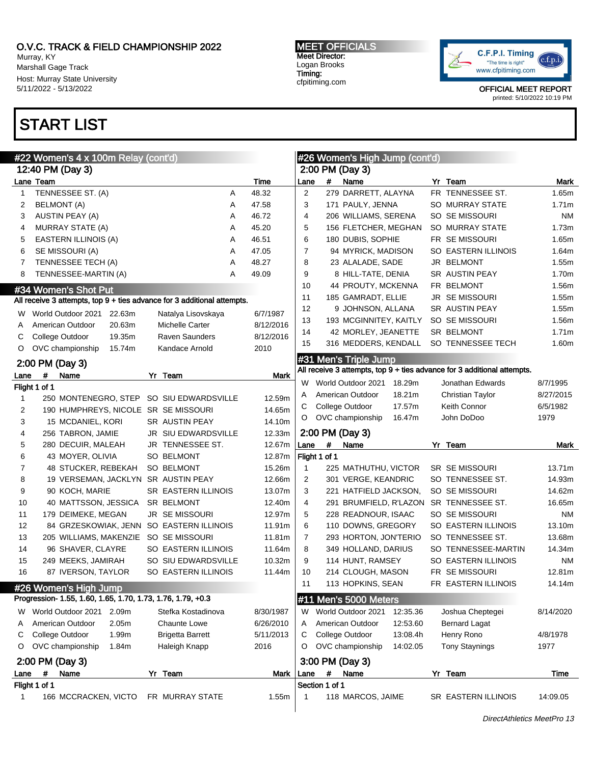Murray, KY Marshall Gage Track Host: Murray State University 5/11/2022 - 5/13/2022

## START LIST

MEET OFFICIALS Meet Director: Logan Brooks Timing: cfpitiming.com



| #22 Women's 4 x 100m Relay (cont'd) |                                                                                      |                  |                     |            | #26 Women's High Jump (cont'd)            |                                                                         |                  |  |  |  |  |
|-------------------------------------|--------------------------------------------------------------------------------------|------------------|---------------------|------------|-------------------------------------------|-------------------------------------------------------------------------|------------------|--|--|--|--|
|                                     | 12:40 PM (Day 3)                                                                     |                  |                     |            | 2:00 PM (Day 3)                           |                                                                         |                  |  |  |  |  |
|                                     | Lane Team                                                                            | Time             | Lane                | #          | Name                                      | Yr Team                                                                 | Mark             |  |  |  |  |
| 1                                   | TENNESSEE ST. (A)<br>Α                                                               | 48.32            | 2                   |            | 279 DARRETT, ALAYNA                       | FR TENNESSEE ST.                                                        | 1.65m            |  |  |  |  |
| 2                                   | <b>BELMONT</b> (A)<br>Α                                                              | 47.58            | 3                   |            | 171 PAULY, JENNA                          | SO MURRAY STATE                                                         | 1.71m            |  |  |  |  |
| 3                                   | AUSTIN PEAY (A)<br>Α                                                                 | 46.72            | 4                   |            | 206 WILLIAMS, SERENA                      | SO SE MISSOURI                                                          | <b>NM</b>        |  |  |  |  |
| 4                                   | <b>MURRAY STATE (A)</b><br>Α                                                         | 45.20            | 5                   |            | 156 FLETCHER, MEGHAN                      | SO MURRAY STATE                                                         | 1.73m            |  |  |  |  |
| 5                                   | EASTERN ILLINOIS (A)<br>Α                                                            | 46.51            | 6                   |            | 180 DUBIS, SOPHIE                         | FR SE MISSOURI                                                          | 1.65m            |  |  |  |  |
| 6                                   | SE MISSOURI (A)<br>Α                                                                 | 47.05            | $\overline{7}$      |            | 94 MYRICK, MADISON                        | SO EASTERN ILLINOIS                                                     | 1.64m            |  |  |  |  |
| 7                                   | TENNESSEE TECH (A)<br>Α                                                              | 48.27            | 8                   |            | 23 ALALADE, SADE                          | JR BELMONT                                                              | 1.55m            |  |  |  |  |
| 8                                   | TENNESSEE-MARTIN (A)<br>Α                                                            | 49.09            | 9                   |            | 8 HILL-TATE, DENIA                        | SR AUSTIN PEAY                                                          | 1.70m            |  |  |  |  |
|                                     | #34 Women's Shot Put                                                                 |                  | 10                  |            | 44 PROUTY, MCKENNA                        | FR BELMONT                                                              | 1.56m            |  |  |  |  |
|                                     | All receive 3 attempts, top 9 + ties advance for 3 additional attempts.              |                  | 11                  |            | 185 GAMRADT, ELLIE                        | JR SE MISSOURI                                                          | 1.55m            |  |  |  |  |
| w                                   | World Outdoor 2021<br>22.63m<br>Natalya Lisovskaya                                   | 6/7/1987         | 12                  |            | 9 JOHNSON, ALLANA                         | SR AUSTIN PEAY                                                          | 1.55m            |  |  |  |  |
| A                                   | American Outdoor<br>20.63m<br>Michelle Carter                                        | 8/12/2016        | 13                  |            | 193 MCGINNITEY, KAITLY                    | SO SE MISSOURI                                                          | 1.56m            |  |  |  |  |
| С                                   | College Outdoor<br>19.35m<br><b>Raven Saunders</b>                                   | 8/12/2016        | 14                  |            | 42 MORLEY, JEANETTE                       | SR BELMONT                                                              | 1.71m            |  |  |  |  |
| O                                   | OVC championship<br>15.74m<br>Kandace Arnold                                         | 2010             | 15                  |            | 316 MEDDERS, KENDALL                      | SO TENNESSEE TECH                                                       | 1.60m            |  |  |  |  |
|                                     | 2:00 PM (Day 3)                                                                      |                  |                     |            | #31 Men's Triple Jump                     |                                                                         |                  |  |  |  |  |
|                                     | #                                                                                    |                  |                     |            |                                           | All receive 3 attempts, top 9 + ties advance for 3 additional attempts. |                  |  |  |  |  |
| Lane                                | Name<br>Yr Team<br>Flight 1 of 1                                                     | Mark             | W                   |            | World Outdoor 2021<br>18.29m              | Jonathan Edwards                                                        | 8/7/1995         |  |  |  |  |
| $\mathbf{1}$                        | 250 MONTENEGRO, STEP SO SIU EDWARDSVILLE                                             | 12.59m           | A                   |            | 18.21m<br>American Outdoor                | Christian Taylor                                                        | 8/27/2015        |  |  |  |  |
| 2                                   | 190 HUMPHREYS, NICOLE SR SE MISSOURI                                                 | 14.65m           | C                   |            | College Outdoor<br>17.57m                 | Keith Connor                                                            | 6/5/1982         |  |  |  |  |
| 3                                   | 15 MCDANIEL, KORI<br>SR AUSTIN PEAY                                                  | 14.10m           | $\circ$             |            | OVC championship<br>16.47m                | John DoDoo                                                              | 1979             |  |  |  |  |
| 4                                   | 256 TABRON, JAMIE<br>JR SIU EDWARDSVILLE                                             | 12.33m           |                     |            | 2:00 PM (Day 3)                           |                                                                         |                  |  |  |  |  |
|                                     |                                                                                      |                  |                     |            |                                           |                                                                         |                  |  |  |  |  |
|                                     |                                                                                      |                  |                     |            |                                           |                                                                         |                  |  |  |  |  |
| 5                                   | 280 DECUIR, MALEAH<br>JR TENNESSEE ST.                                               | 12.67m           | Lane                | #          | Name                                      | Yr Team                                                                 | Mark             |  |  |  |  |
| 6                                   | 43 MOYER, OLIVIA<br><b>SO BELMONT</b>                                                | 12.87m           | Flight 1 of 1       |            |                                           |                                                                         |                  |  |  |  |  |
| 7                                   | 48 STUCKER, REBEKAH<br><b>SO BELMONT</b>                                             | 15.26m           | $\mathbf 1$<br>2    |            | 225 MATHUTHU, VICTOR                      | <b>SR SE MISSOURI</b>                                                   | 13.71m           |  |  |  |  |
| 8                                   | 19 VERSEMAN, JACKLYN SR AUSTIN PEAY                                                  | 12.66m           | 3                   |            | 301 VERGE, KEANDRIC                       | SO TENNESSEE ST.                                                        | 14.93m           |  |  |  |  |
| 9<br>10                             | 90 KOCH, MARIE<br><b>SR EASTERN ILLINOIS</b><br>SR BELMONT                           | 13.07m           | 4                   |            | 221 HATFIELD JACKSON,                     | SO SE MISSOURI                                                          | 14.62m<br>16.65m |  |  |  |  |
| 11                                  | 40 MATTSSON, JESSICA<br><b>JR SE MISSOURI</b>                                        | 12.40m<br>12.97m | 5                   |            | 291 BRUMFIELD, R'LAZON SR TENNESSEE ST.   | SO SE MISSOURI                                                          | ΝM               |  |  |  |  |
| 12                                  | 179 DEIMEKE, MEGAN                                                                   | 11.91m           | 6                   |            | 228 READNOUR, ISAAC<br>110 DOWNS, GREGORY | SO EASTERN ILLINOIS                                                     | 13.10m           |  |  |  |  |
| 13                                  | 84 GRZESKOWIAK, JENN SO EASTERN ILLINOIS<br>205 WILLIAMS, MAKENZIE<br>SO SE MISSOURI | 11.81m           | $\overline{7}$      |            | 293 HORTON, JON'TERIO                     | SO TENNESSEE ST.                                                        | 13.68m           |  |  |  |  |
| 14                                  | 96 SHAVER, CLAYRE<br>SO EASTERN ILLINOIS                                             | 11.64m           | 8                   |            | 349 HOLLAND, DARIUS                       | SO TENNESSEE-MARTIN                                                     | 14.34m           |  |  |  |  |
| 15                                  | 249 MEEKS, JAMIRAH<br>SO SIU EDWARDSVILLE                                            | 10.32m           | 9                   |            | 114 HUNT, RAMSEY                          | SO EASTERN ILLINOIS                                                     | ΝM               |  |  |  |  |
| 16                                  | SO EASTERN ILLINOIS                                                                  | 11.44m           | 10                  |            | 214 CLOUGH, MASON                         | FR SE MISSOURI                                                          | 12.81m           |  |  |  |  |
|                                     | 87 IVERSON, TAYLOR                                                                   |                  | 11                  |            | 113 HOPKINS, SEAN                         | FR EASTERN ILLINOIS                                                     | 14.14m           |  |  |  |  |
|                                     | #26 Women's High Jump                                                                |                  |                     |            |                                           |                                                                         |                  |  |  |  |  |
|                                     | Progression- 1.55, 1.60, 1.65, 1.70, 1.73, 1.76, 1.79, +0.3                          |                  |                     |            | #11 Men's 5000 Meters                     |                                                                         |                  |  |  |  |  |
| w                                   | World Outdoor 2021<br>2.09m<br>Stefka Kostadinova                                    | 8/30/1987        | W                   |            | World Outdoor 2021<br>12:35.36            | Joshua Cheptegei                                                        | 8/14/2020        |  |  |  |  |
| A                                   | American Outdoor<br>2.05m<br>Chaunte Lowe                                            | 6/26/2010        | A                   |            | American Outdoor<br>12:53.60              | <b>Bernard Lagat</b>                                                    |                  |  |  |  |  |
| С                                   | College Outdoor<br>1.99m<br><b>Brigetta Barrett</b>                                  | 5/11/2013        | C                   |            | College Outdoor<br>13:08.4h               | Henry Rono                                                              | 4/8/1978         |  |  |  |  |
| O                                   | OVC championship<br>1.84m<br>Haleigh Knapp                                           | 2016             | $\circ$             |            | OVC championship<br>14:02.05              | <b>Tony Staynings</b>                                                   | 1977             |  |  |  |  |
|                                     | 2:00 PM (Day 3)                                                                      |                  |                     |            | 3:00 PM (Day 3)                           |                                                                         |                  |  |  |  |  |
| Lane                                | #<br>Name<br>Yr Team                                                                 | Mark             | Lane                | $\pmb{\#}$ | Name                                      | Yr Team                                                                 | Time             |  |  |  |  |
| 1                                   | Flight 1 of 1<br>166 MCCRACKEN, VICTO<br>FR MURRAY STATE                             | 1.55m            | Section 1 of 1<br>1 |            | 118 MARCOS, JAIME                         | SR EASTERN ILLINOIS                                                     | 14:09.05         |  |  |  |  |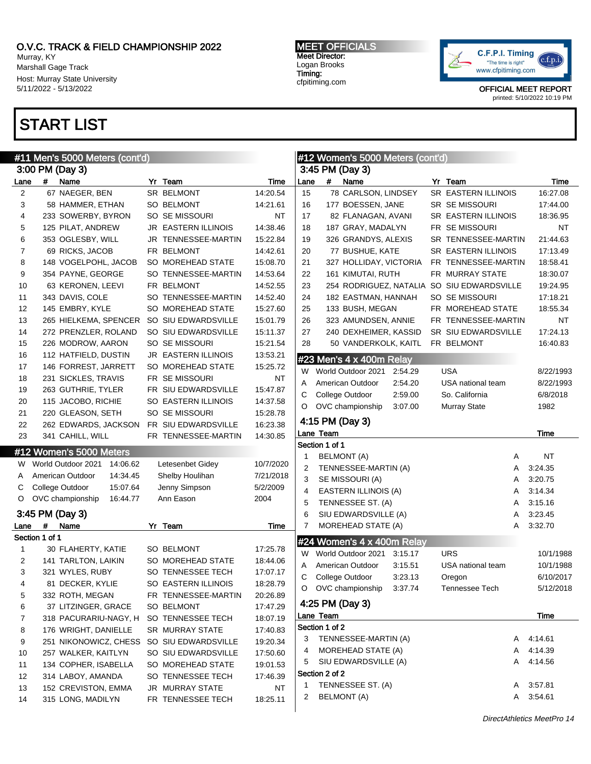Murray, KY Marshall Gage Track Host: Murray State University 5/11/2022 - 5/13/2022

## START LIST

MEET OFFICIALS Meet Director: Logan Brooks Timing: cfpitiming.com



| <u>#11 Me</u> n's 5000 Meters (cont'd) |                |                                |  |                            |           | #12 Women's 5000 Meters (cont'd) |                             |                            |         |  |                                            |   |           |
|----------------------------------------|----------------|--------------------------------|--|----------------------------|-----------|----------------------------------|-----------------------------|----------------------------|---------|--|--------------------------------------------|---|-----------|
| 3:00 PM (Day 3)                        |                |                                |  |                            |           |                                  | 3:45 PM (Day 3)             |                            |         |  |                                            |   |           |
| Lane                                   |                | # Name                         |  | Yr Team                    | Time      | Lane                             | #                           | Name                       |         |  | Yr Team                                    |   | Time      |
| 2                                      |                | 67 NAEGER, BEN                 |  | SR BELMONT                 | 14:20.54  | 15                               |                             | 78 CARLSON, LINDSEY        |         |  | SR EASTERN ILLINOIS                        |   | 16:27.08  |
| 3                                      |                | 58 HAMMER, ETHAN               |  | SO BELMONT                 | 14:21.61  | 16                               |                             | 177 BOESSEN, JANE          |         |  | <b>SR SE MISSOURI</b>                      |   | 17:44.00  |
| 4                                      |                | 233 SOWERBY, BYRON             |  | SO SE MISSOURI             | ΝT        | 17                               |                             | 82 FLANAGAN, AVANI         |         |  | <b>SR EASTERN ILLINOIS</b>                 |   | 18:36.95  |
| 5                                      |                | 125 PILAT, ANDREW              |  | <b>JR EASTERN ILLINOIS</b> | 14:38.46  | 18                               |                             | 187 GRAY, MADALYN          |         |  | FR SE MISSOURI                             |   | NT        |
| 6                                      |                | 353 OGLESBY, WILL              |  | JR TENNESSEE-MARTIN        | 15:22.84  | 19                               |                             | 326 GRANDYS, ALEXIS        |         |  | SR TENNESSEE-MARTIN                        |   | 21:44.63  |
| $\overline{7}$                         |                | 69 RICKS, JACOB                |  | FR BELMONT                 | 14:42.61  | 20                               |                             | 77 BUSHUE, KATE            |         |  | <b>SR EASTERN ILLINOIS</b>                 |   | 17:13.49  |
| 8                                      |                | 148 VOGELPOHL, JACOB           |  | SO MOREHEAD STATE          | 15:08.70  | 21                               |                             | 327 HOLLIDAY, VICTORIA     |         |  | FR TENNESSEE-MARTIN                        |   | 18:58.41  |
| 9                                      |                | 354 PAYNE, GEORGE              |  | SO TENNESSEE-MARTIN        | 14:53.64  | 22                               |                             | 161 KIMUTAI, RUTH          |         |  | FR MURRAY STATE                            |   | 18:30.07  |
| 10                                     |                | 63 KERONEN, LEEVI              |  | FR BELMONT                 | 14:52.55  | 23                               |                             |                            |         |  | 254 RODRIGUEZ, NATALIA SO SIU EDWARDSVILLE |   | 19:24.95  |
| 11                                     |                | 343 DAVIS, COLE                |  | SO TENNESSEE-MARTIN        | 14:52.40  | 24                               |                             | 182 EASTMAN, HANNAH        |         |  | SO SE MISSOURI                             |   | 17:18.21  |
| 12                                     |                | 145 EMBRY, KYLE                |  | SO MOREHEAD STATE          | 15:27.60  | 25                               |                             | 133 BUSH, MEGAN            |         |  | FR MOREHEAD STATE                          |   | 18:55.34  |
| 13                                     |                | 265 HIELKEMA, SPENCER          |  | SO SIU EDWARDSVILLE        | 15:01.79  | 26                               |                             | 323 AMUNDSEN, ANNIE        |         |  | FR TENNESSEE-MARTIN                        |   | <b>NT</b> |
| 14                                     |                | 272 PRENZLER, ROLAND           |  | SO SIU EDWARDSVILLE        | 15:11.37  | 27                               |                             | 240 DEXHEIMER, KASSID      |         |  | SR SIU EDWARDSVILLE                        |   | 17:24.13  |
| 15                                     |                | 226 MODROW, AARON              |  | SO SE MISSOURI             | 15:21.54  | 28                               |                             | 50 VANDERKOLK, KAITL       |         |  | FR BELMONT                                 |   | 16:40.83  |
| 16                                     |                | 112 HATFIELD, DUSTIN           |  | <b>JR EASTERN ILLINOIS</b> | 13:53.21  |                                  |                             | #23 Men's 4 x 400m Relay   |         |  |                                            |   |           |
| 17                                     |                | 146 FORREST, JARRETT           |  | SO MOREHEAD STATE          | 15:25.72  | W                                |                             | World Outdoor 2021         | 2:54.29 |  | <b>USA</b>                                 |   | 8/22/1993 |
| 18                                     |                | 231 SICKLES, TRAVIS            |  | FR SE MISSOURI             | ΝT        | Α                                |                             | American Outdoor           | 2:54.20 |  | USA national team                          |   | 8/22/1993 |
| 19                                     |                | 263 GUTHRIE, TYLER             |  | FR SIU EDWARDSVILLE        | 15:47.87  | С                                |                             | College Outdoor            | 2:59.00 |  | So. California                             |   | 6/8/2018  |
| 20                                     |                | 115 JACOBO, RICHIE             |  | <b>SO EASTERN ILLINOIS</b> | 14:37.58  | O                                |                             | OVC championship           | 3:07.00 |  | Murray State                               |   | 1982      |
| 21                                     |                | 220 GLEASON, SETH              |  | SO SE MISSOURI             | 15:28.78  |                                  |                             |                            |         |  |                                            |   |           |
| 22                                     |                | 262 EDWARDS, JACKSON           |  | FR SIU EDWARDSVILLE        | 16:23.38  |                                  |                             | 4:15 PM (Day 3)            |         |  |                                            |   |           |
| 23                                     |                | 341 CAHILL, WILL               |  | FR TENNESSEE-MARTIN        | 14:30.85  |                                  | Lane Team<br>Section 1 of 1 |                            |         |  |                                            |   | Time      |
|                                        |                | #12 Women's 5000 Meters        |  |                            |           | 1                                |                             | <b>BELMONT</b> (A)         |         |  |                                            | Α | <b>NT</b> |
| W.                                     |                | World Outdoor 2021<br>14:06.62 |  | Letesenbet Gidey           | 10/7/2020 | 2                                |                             | TENNESSEE-MARTIN (A)       |         |  |                                            | Α | 3:24.35   |
| A                                      |                | American Outdoor<br>14:34.45   |  | Shelby Houlihan            | 7/21/2018 | 3                                |                             | SE MISSOURI (A)            |         |  |                                            | Α | 3:20.75   |
| С                                      |                | College Outdoor<br>15:07.64    |  | Jenny Simpson              | 5/2/2009  | 4                                |                             | EASTERN ILLINOIS (A)       |         |  |                                            | Α | 3:14.34   |
| $\circ$                                |                | OVC championship<br>16:44.77   |  | Ann Eason                  | 2004      | 5                                |                             | TENNESSEE ST. (A)          |         |  |                                            | Α | 3:15.16   |
|                                        |                | 3:45 PM (Day 3)                |  |                            |           | 6                                |                             | SIU EDWARDSVILLE (A)       |         |  |                                            | Α | 3:23.45   |
| Lane                                   | #              | Name                           |  | Yr Team                    | Time      | 7                                |                             | MOREHEAD STATE (A)         |         |  |                                            | Α | 3:32.70   |
|                                        | Section 1 of 1 |                                |  |                            |           |                                  |                             |                            |         |  |                                            |   |           |
| 1                                      |                | 30 FLAHERTY, KATIE             |  | SO BELMONT                 | 17:25.78  |                                  |                             | #24 Women's 4 x 400m Relay |         |  |                                            |   |           |
| 2                                      |                | 141 TARLTON, LAIKIN            |  | SO MOREHEAD STATE          | 18:44.06  | W                                |                             | World Outdoor 2021         | 3:15.17 |  | <b>URS</b>                                 |   | 10/1/1988 |
| 3                                      |                | 321 WYLES, RUBY                |  | SO TENNESSEE TECH          | 17:07.17  | Α                                |                             | American Outdoor           | 3:15.51 |  | USA national team                          |   | 10/1/1988 |
| 4                                      |                | 81 DECKER, KYLIE               |  | SO EASTERN ILLINOIS        | 18:28.79  | C                                |                             | College Outdoor            | 3:23.13 |  | Oregon                                     |   | 6/10/2017 |
| 5                                      |                | 332 ROTH, MEGAN                |  | FR TENNESSEE-MARTIN        | 20:26.89  |                                  |                             | O OVC championship         | 3:37.74 |  | Tennessee Tech                             |   | 5/12/2018 |
| 6                                      |                | 37 LITZINGER, GRACE            |  | SO BELMONT                 | 17:47.29  |                                  |                             | 4:25 PM (Day 3)            |         |  |                                            |   |           |
| 7                                      |                | 318 PACURARIU-NAGY, H          |  | SO TENNESSEE TECH          | 18:07.19  |                                  | Lane Team                   |                            |         |  |                                            |   | Time      |
| 8                                      |                | 176 WRIGHT, DANIELLE           |  | SR MURRAY STATE            | 17:40.83  |                                  | Section 1 of 2              |                            |         |  |                                            |   |           |
| 9                                      |                | 251 NIKONOWICZ, CHESS          |  | SO SIU EDWARDSVILLE        | 19:20.34  | 3                                |                             | TENNESSEE-MARTIN (A)       |         |  |                                            | A | 4:14.61   |
| 10                                     |                | 257 WALKER, KAITLYN            |  | SO SIU EDWARDSVILLE        | 17:50.60  | 4                                |                             | MOREHEAD STATE (A)         |         |  |                                            | A | 4:14.39   |
| 11                                     |                | 134 COPHER, ISABELLA           |  | SO MOREHEAD STATE          | 19:01.53  | 5                                |                             | SIU EDWARDSVILLE (A)       |         |  |                                            | A | 4:14.56   |
| 12                                     |                | 314 LABOY, AMANDA              |  | SO TENNESSEE TECH          | 17:46.39  |                                  | Section 2 of 2              |                            |         |  |                                            |   |           |
| 13                                     |                | 152 CREVISTON, EMMA            |  | JR MURRAY STATE            | ΝT        | 1                                |                             | TENNESSEE ST. (A)          |         |  |                                            | A | 3.57.81   |
| 14                                     |                | 315 LONG, MADILYN              |  | FR TENNESSEE TECH          | 18:25.11  | 2                                |                             | <b>BELMONT (A)</b>         |         |  |                                            |   | A 3:54.61 |
|                                        |                |                                |  |                            |           |                                  |                             |                            |         |  |                                            |   |           |